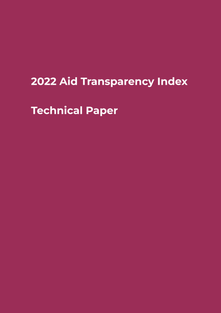# **2022 Aid Transparency Index**

**Technical Paper**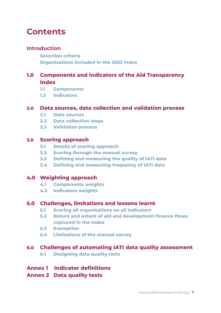# **Contents**

## **Introduction**

**Selection criteria Organisations included in the 2022 Index**

## **1.0 Components and indicators of the Aid Transparency Index**

- **1.1 Components**
- **1.2 Indicators**

## **2.0 Data sources, data collection and validation process**

- **2.1 Data sources**
- **2.2 Data collection steps**
- **2.3 Validation process**

## **3.0 Scoring approach**

- **3.1 Details of scoring approach**
- **3.2 Scoring through the manual survey**
- **3.3 Defining and measuring the quality of IATI data**
- **3.4 Defining and measuring frequency of IATI data**

## **4.0 Weighting approach**

- **4.1 Components weights**
- **4.2 Indicators weights**

## **5.0 Challenges, limitations and lessons learnt**

- **5.1 Scoring all organisations on all indicators**
- **5.2 Nature and extent of aid and development finance flows captured in the Index**
- **5.3 Exemption**
- **5.4 Limitations of the manual survey**

## **6.0 Challenges of automating IATI data quality assessment**

**6.1 Designing data quality tests**

## **Annex 1 Indicator definitions**

## **Annex 2 Data quality tests**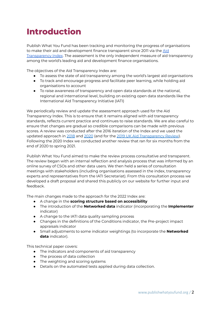# **Introduction**

Publish What You Fund has been tracking and monitoring the progress of organisations to make their aid and development finance transparent since 2011 via the  $\overline{\text{Aid}}$  $\overline{\text{Aid}}$  $\overline{\text{Aid}}$ [Transparency](http://www.publishwhatyoufund.org/index/) Index[.](http://www.publishwhatyoufund.org/index/) T[he](http://www.publishwhatyoufund.org/index/) [as](http://www.publishwhatyoufund.org/index/)s[essment](http://www.publishwhatyoufund.org/index/) [i](http://www.publishwhatyoufund.org/index/)s the only independent measure of aid transparency among the world's leading aid and development finance organisations.

The objectives of the Aid Transparency Index are:

- To assess the state of aid transparency among the world's largest aid organisations
- To track and encourage progress and facilitate peer learning, while holding aid organisations to account
- To raise awareness of transparency and open data standards at the national, regional and international level, building on existing open data standards like the International Aid Transparency Initiative (IATI)

We periodically review and update the assessment approach used for the Aid Transparency Index. This is to ensure that it remains aligned with aid transparency standards, reflects current practice and continues to raise standards. We are also careful to ensure that changes are gradual so credible comparisons can be made with previous scores. A review was conducted after the 2016 iteration of the Index and we used the updated approach in [2018](https://www.publishwhatyoufund.org/the-index/2018/) and [2020](https://www.publishwhatyoufund.org/the-index/2020/) (and for the 2019 UK Aid [Transparency](https://www.publishwhatyoufund.org/projects/improving-uk-aid-transparency/) Review). Following the 2020 Index we conducted another review that ran for six months from the end of 2020 to spring 2021.

Publish What You Fund aimed to make the review process consultative and transparent. The review began with an internal reflection and analysis process that was informed by an online survey of CSOs and other data users. We then held a series of consultation meetings with stakeholders (including organisations assessed in the index, transparency experts and representatives from the IATI Secretariat). From this consultation process we developed a draft proposal and shared this publicly on our website for further input and feedback.

The main changes made to the approach for the 2022 Index are:

- A change in the **scoring structure based on accessibility**
- The introduction of the **Networked data** indicator (incorporating the **Implementer** indicator)
- A change to the IATI data quality sampling process
- Changes in the definitions of the Conditions indicator, the Pre-project impact appraisals indicator
- Small adjustments to some indicator weightings (to incorporate the **Networked data** indicator).

This technical paper covers:

- The indicators and components of aid transparency
- The process of data collection
- The weighting and scoring systems
- Details on the automated tests applied during data collection.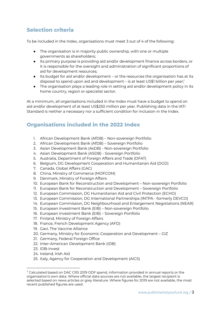# **Selection criteria**

To be included in the Index, organisations must meet 3 out of 4 of the following:

- The organisation is in majority public ownership, with one or multiple governments as shareholders;
- Its primary purpose is providing aid and/or development finance across borders, or it is responsible for the oversight and administration of significant proportions of aid for development resources;
- Its budget for aid and/or development or the resources the organisation has at its disposal to spend upon aid and development – is at least US\$1 billion per year; 1
- The organisation plays a leading role in setting aid and/or development policy in its home country, region or specialist sector.

At a minimum, all organisations included in the Index must have a budget to spend on aid and/or development of at least US\$250 million per year. Publishing data in the IATI Standard is neither a necessary nor a sufficient condition for inclusion in the Index.

# **Organisations included in the 2022 Index**

- 1. African Development Bank (AfDB) Non-sovereign Portfolio
- 2. African Development Bank (AfDB) Sovereign Portfolio
- 3. Asian Development Bank (AsDB) Non-sovereign Portfolio
- 4. Asian Development Bank (ASDB) Sovereign Portfolio
- 5. Australia, Department of Foreign Affairs and Trade (DFAT)
- 6. Belgium, DG Development Cooperation and Humanitarian Aid (DGD)
- 7. Canada, Global Affairs (GAC)
- 8. China, Ministry of Commerce (MOFCOM)
- 9. Denmark, Ministry of Foreign Affairs
- 10. European Bank for Reconstruction and Development Non-sovereign Portfolio
- 11. European Bank for Reconstruction and Development Sovereign Portfolio
- 12. European Commission, DG Humanitarian Aid and Civil Protection (ECHO)
- 13. European Commission, DG International Partnerships (INTPA formerly DEVCO)
- 14. European Commission, DG Neighbourhood and Enlargement Negotiations (NEAR)
- 15. European Investment Bank (EIB) Non-sovereign Portfolio
- 16. European Investment Bank (EIB) Sovereign Portfolio
- 17. Finland, Ministry of Foreign Affairs
- 18. France, French Development Agency (AFD)
- 19. Gavi, The Vaccine Alliance
- 20. Germany, Ministry for Economic Cooperation and Development GIZ
- 21. Germany, Federal Foreign Office
- 22. Inter-American Development Bank (IDB)
- 23. IDB-Invest
- 24. Ireland, Irish Aid
- 25. Italy, Agency for Cooperation and Development (AICS)

<sup>1</sup> Calculated based on DAC CRS 2019 ODF spend, information provided in annual reports or the organisation's own data. Where official data sources are not available, the largest recipient is selected based on news articles or grey literature. Where figures for 2019 are not available, the most recent published figures are used.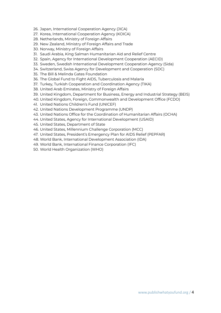- 26. Japan, International Cooperation Agency (JICA)
- 27. Korea, International Cooperation Agency (KOICA)
- 28. Netherlands, Ministry of Foreign Affairs
- 29. New Zealand, Ministry of Foreign Affairs and Trade
- 30. Norway, Ministry of Foreign Affairs
- 31. Saudi Arabia, King Salman Humanitarian Aid and Relief Centre
- 32. Spain, Agency for International Development Cooperation (AECID)
- 33. Sweden, Swedish International Development Cooperation Agency (Sida)
- 34. Switzerland, Swiss Agency for Development and Cooperation (SDC)
- 35. The Bill & Melinda Gates Foundation
- 36. The Global Fund to Fight AIDS, Tuberculosis and Malaria
- 37. Turkey, Turkish Cooperation and Coordination Agency (TIKA)
- 38. United Arab Emirates, Ministry of Foreign Affairs
- 39. United Kingdom, Department for Business, Energy and Industrial Strategy (BEIS)
- 40. United Kingdom, Foreign, Commonwealth and Development Office (FCDO)
- 41. United Nations Children's Fund (UNICEF)
- 42. United Nations Development Programme (UNDP)
- 43. United Nations Office for the Coordination of Humanitarian Affairs (OCHA)
- 44. United States, Agency for International Development (USAID)
- 45. United States, Department of State
- 46. United States, Millennium Challenge Corporation (MCC)
- 47. United States, President's Emergency Plan for AIDS Relief (PEPFAR)
- 48. World Bank, International Development Association (IDA)
- 49. World Bank, International Finance Corporation (IFC)
- 50. World Health Organization (WHO)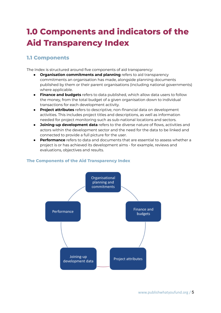# **1.0 Components and indicators of the Aid Transparency Index**

# **1.1 Components**

The Index is structured around five components of aid transparency:

- **Organisation commitments and planning** refers to aid transparency commitments an organisation has made, alongside planning documents published by them or their parent organisations (including national governments) where applicable.
- **Finance and budgets** refers to data published, which allow data users to follow the money, from the total budget of a given organisation down to individual transactions for each development activity.
- **Project attributes** refers to descriptive, non-financial data on development activities. This includes project titles and descriptions, as well as information needed for project monitoring such as sub-national locations and sectors.
- **Joining-up development data** refers to the diverse nature of flows, activities and actors within the development sector and the need for the data to be linked and connected to provide a full picture for the user.
- **Performance** refers to data and documents that are essential to assess whether a project is or has achieved its development aims - for example, reviews and evaluations, objectives and results.



## **The Components of the Aid Transparency Index**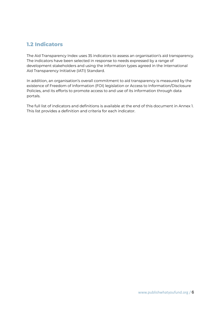# **1.2 Indicators**

The Aid Transparency Index uses 35 indicators to assess an organisation's aid transparency. The indicators have been selected in response to needs expressed by a range of development stakeholders and using the information types agreed in the International Aid Transparency Initiative (IATI) Standard.

In addition, an organisation's overall commitment to aid transparency is measured by the existence of Freedom of Information (FOI) legislation or Access to Information/Disclosure Policies, and its efforts to promote access to and use of its information through data portals.

The full list of indicators and definitions is available at the end of this document in Annex 1. This list provides a definition and criteria for each indicator.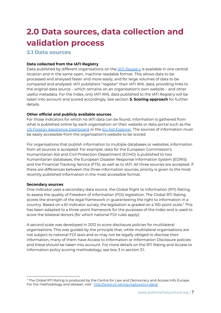# **2.0 Data sources, data collection and validation process**

### **2.1 Data sources**

### **Data collected from the IATI Registry**

Data published by different organisations on the **JATI [Registry](https://www.iatiregistry.org/)** is available in one central location and in the same open, machine-readable format. This allows data to be processed and analysed faster and more easily, and for large volumes of data to be compared and analysed. IATI publishers "register" their IATI XML data, providing links to the original data source – which remains on an organisation's own website – and other useful metadata. For the Index, only IATI XML data published to the IATI Registry will be taken into account and scored accordingly. See section **3. Scoring approach** for further details.

#### **Other official and publicly available sources**

For those indicators for which no IATI data can be found, information is gathered from what is published online by each organisation on their website or data portal such as the US Foreign Assistance [Dashboard](https://explorer.usaid.gov/aid-dashboard.html) or the EU Aid [Explorer.](https://euaidexplorer.ec.europa.eu/) The sources of information must be easily accessible from the organisation's website to be scored.

For organisations that publish information to multiple databases or websites, information from all sources is accepted. For example, data for the European Commission's Humanitarian Aid and Civil Protection Department (ECHO) is published to two humanitarian databases, the European Disaster Response Information System (EDRIS) and the Financial Tracking Service (FTS), as well as to IATI. All three sources are accepted. If there are differences between the three information sources, priority is given to the most recently published information in the most accessible format.

#### **Secondary sources**

One indicator uses a secondary data source, the Global Right to Information (RTI) Rating, to assess the quality of Freedom of Information (FOI) legislation. The Global RTI Rating scores the strength of the legal framework in guaranteeing the right to information in a country. Based on a 61-indicator survey, the legislation is graded on a 150-point scale. $^2$  This has been adapted to a three-point framework for the purposes of the Index and is used to score the bilateral donors (for which national FOI rules apply).

A second scale was developed in 2012 to score disclosure policies for multilateral organisations. This was guided by the principle that, while multilateral organisations are not subject to national FOI laws and so may not be legally obliged to disclose their information, many of them have Access to Information or Information Disclosure policies and these should be taken into account. For more details on the RTI Rating and Access to Information policy scoring methodology, see box 3 in section 3.1.

 $2$  The Global RTI Rating is produced by [th](http://www.rti-rating.org/index.html)e Centre for Law and Democracy and Access Info Europe. For the methodology and dataset, visit: <http://www.rti-rating.org/country-data/>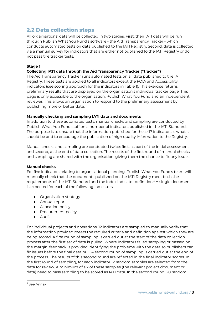# **2.2 Data collection steps**

All organisations' data will be collected in two stages. First, their IATI data will be run through Publish What You Fund's software - the Aid Transparency Tracker - which conducts automated tests on data published to the IATI Registry. Second, data is collected via a manual survey for indicators that are either not published to the IATI Registry or do not pass the tracker tests.

### **Stage 1**

### **Collecting IATI data through the Aid Transparency Tracker ("tracker")**

The Aid Transparency Tracker runs automated tests on all data published to the IATI Registry. These tests are applied to all indicators except the FOIA and Accessibility indicators (see scoring approach for the indicators in Table 1). This exercise returns preliminary results that are displayed on the organisation's individual tracker page. This page is only accessible to the organisation, Publish What You Fund and an independent reviewer. This allows an organisation to respond to the preliminary assessment by publishing more or better data.

#### **Manually checking and sampling IATI data and documents**

In addition to these automated tests, manual checks and sampling are conducted by Publish What You Fund staff on a number of indicators published in the IATI Standard. The purpose is to ensure that the information published for these 17 indicators is what it should be and to encourage the publication of high quality information to the Registry.

Manual checks and sampling are conducted twice: first, as part of the initial assessment and second, at the end of data collection. The results of the first round of manual checks and sampling are shared with the organisation, giving them the chance to fix any issues.

#### **Manual checks**

For five indicators relating to organisational planning, Publish What You Fund's team will manually check that the documents published on the IATI Registry meet both the requirements of the IATI Standard and the Index indicator definition. $3$  A single document is expected for each of the following indicators:

- Organisation strategy
- Annual report
- Allocation policy
- Procurement policy
- Audit

For individual projects and operations, 12 indicators are sampled to manually verify that the information provided meets the required criteria and definition against which they are being scored. A first round of sampling is carried out at the start of the data collection process after the first set of data is pulled. Where indicators failed sampling or passed on the margin, feedback is provided identifying the problems with the data so publishers can fix issues before the final data pull. A second round of sampling is carried out at the end of the process. The results of this second round are reflected in the final indicator scores. In the first round of sampling, for each indicator 12 random samples are selected from the data for review. A minimum of six of these samples (the relevant project document or data) need to pass sampling to be scored as IATI data. In the second round, 20 random

 $3$  See Annex 1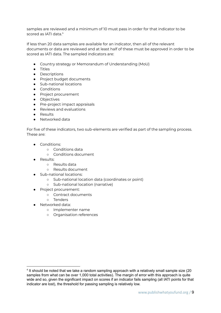samples are reviewed and a minimum of 10 must pass in order for that indicator to be scored as IATI data. 4

If less than 20 data samples are available for an indicator, then all of the relevant documents or data are reviewed and at least half of these must be approved in order to be scored as IATI data. The sampled indicators are:

- Country strategy or Memorandum of Understanding (MoU)
- Titles
- Descriptions
- Project budget documents
- Sub-national locations
- Conditions
- Project procurement
- Objectives
- Pre-project impact appraisals
- Reviews and evaluations
- Results
- Networked data

For five of these indicators, two sub-elements are verified as part of the sampling process. These are:

- Conditions:
	- Conditions data
	- Conditions document
- Results:
	- Results data
	- Results document
- Sub-national locations:
	- Sub-national location data (coordinates or point)
	- Sub-national location (narrative)
- Project procurement:
	- Contract documents
	- Tenders
	- Networked data:
		- Implementer name
		- Organisation references

<sup>&</sup>lt;sup>4</sup> It should be noted that we take a random sampling approach with a relatively small sample size (20 samples from what can be over 1,000 total activities). The margin of error with this approach is quite wide and so, given the significant impact on scores if an indicator fails sampling (all IATI points for that indicator are lost), the threshold for passing sampling is relatively low.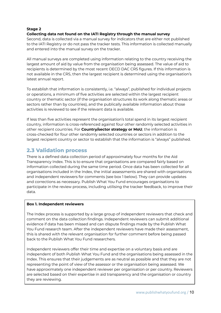### **Stage 2**

### **Collecting data not found on the IATI Registry through the manual survey**

Second, data is collected via a manual survey for indicators that are either not published to the IATI Registry or do not pass the tracker tests. This information is collected manually and entered into the manual survey on the tracker.

All manual surveys are completed using information relating to the country receiving the largest amount of aid by value from the organisation being assessed. The value of aid to recipients is determined by the most recent OECD DAC CRS figures. If this information is not available in the CRS, then the largest recipient is determined using the organisation's latest annual report.

To establish that information is consistently, i.e. "always", published for individual projects or operations, a minimum of five activities are selected within the largest recipient country or thematic sector (if the organisation structures its work along thematic areas or sectors rather than by countries), and the publically available information about those activities is reviewed to see if the relevant data is available.

If less than five activities represent the organisation's total spend in its largest recipient country, information is cross-referenced against four other randomly selected activities in other recipient countries. For **Country/sector strategy or MoU**, the information is cross-checked for four other randomly selected countries or sectors in addition to the largest recipient country or sector to establish that the information is "always" published.

## **2.3 Validation process**

There is a defined data collection period of approximately four months for the Aid Transparency Index. This is to ensure that organisations are compared fairly based on information collected during the same time period. Once data has been collected for all organisations included in the Index, the initial assessments are shared with organisations and independent reviewers for comments (see box 1 below). They can provide updates and corrections as necessary. Publish What You Fund encourages organisations to participate in the review process, including utilising the tracker feedback, to improve their data.

#### **Box 1. Independent reviewers**

The Index process is supported by a large group of independent reviewers that check and comment on the data collection findings. Independent reviewers can submit additional evidence if data has been missed and can dispute findings made by the Publish What You Fund research team. After the independent reviewers have made their assessment, this is shared with the relevant organisation for further comment before being passed back to the Publish What You Fund researchers.

Independent reviewers offer their time and expertise on a voluntary basis and are independent of both Publish What You Fund and the organisations being assessed in the Index. This ensures that their judgements are as neutral as possible and that they are not representing the point of view of the assessor or the organisation being assessed. We have approximately one independent reviewer per organisation or per country. Reviewers are selected based on their expertise in aid transparency and the organisation or country they are reviewing.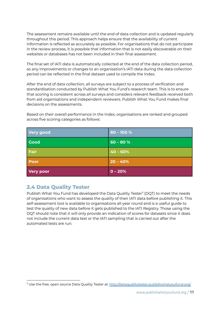The assessment remains available until the end of data collection and is updated regularly throughout this period. This approach helps ensure that the availability of current information is reflected as accurately as possible. For organisations that do not participate in the review process, it is possible that information that is not easily discoverable on their websites or databases has not been included in their final assessment.

The final set of IATI data is automatically collected at the end of the data collection period, so any improvements or changes to an organisation's IATI data during the data collection period can be reflected in the final dataset used to compile the Index.

After the end of data collection, all surveys are subject to a process of verification and standardisation conducted by Publish What You Fund's research team. This is to ensure that scoring is consistent across all surveys and considers relevant feedback received both from aid organisations and independent reviewers. Publish What You Fund makes final decisions on the assessments.

Based on their overall performance in the Index, organisations are ranked and grouped across five scoring categories as follows:

| <b>Very good</b> | $80 - 100 %$ |
|------------------|--------------|
| <b>Good</b>      | $60 - 80 %$  |
| Fair             | $40 - 60%$   |
| <b>Poor</b>      | $20 - 40%$   |
| <b>Very poor</b> | $0 - 20%$    |

## **2.4 Data Quality Tester**

Publish What You Fund has developed the Data Quality Tester<sup>5</sup> (DQT) to meet the needs of organisations who want to assess the quality of their IATI data before publishing it. This self-assessment tool is available to organisations all-year round and is a useful guide to test the quality of new data before it gets published to the IATI Registry. Those using the DQT should note that it will only provide an indication of scores for datasets since it does not include the current data test or the IATI sampling that is carried out after the automated tests are run.

<sup>5</sup> Use the free, open source Data Quality Tester at: <http://dataqualitytester.publishwhatyoufund.org/>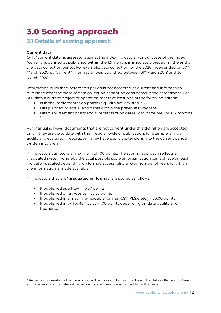# **3.0 Scoring approach**

## **3.1 Details of scoring approach**

### **Current data**

Only "current data" is assessed against the index indicators. For purposes of the Index, "current" is defined as published within the 12-months immediately preceding the end of the data collection period. For example, data collection for the 2020 Index ended on 30 $^{\rm th}$ March 2020, so "current" information was published between 31st March 2019 and 30<sup>th</sup> March 2020.

Information published before this period is not accepted as current and information published after the close of data collection cannot be considered in the assessment. For IATI data a current project or operation meets at least one of the following criteria:

- Is in the implementation phase (e.g. with activity status 2)
- Has planned or actual end dates within the previous 12 months
- Has disbursement or expenditure transaction dates within the previous 12 months. 6

For manual surveys, documents that are not current under this definition are accepted only if they are up to date with their regular cycle of publication, for example, annual audits and evaluation reports, or if they have explicit extensions into the current period written into them.

All indicators can score a maximum of 100 points. The scoring approach reflects a graduated system whereby the total possible score an organisation can achieve on each indicator is scaled depending on format, accessibility and/or number of years for which the information is made available.

All indicators that are "**graduated on format**" are scored as follows:

- If published as a PDF = 16.67 points
- $\bullet$  If published on a website = 33.33 points
- If published in a machine-readable format (CSV, XLSX, etc.) = 50.00 points
- If published in IATI XML = 33.33 100 points depending on data quality and frequency.

 $6$  Projects or operations that finish more than 12-months prior to the end of data collection but are still receiving loan or interest repayments are therefore excluded from the tests.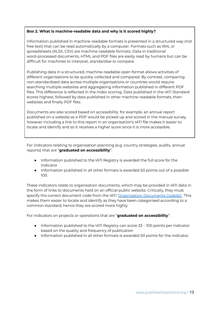### **Box 2. What is machine-readable data and why is it scored highly?**

Information published in machine-readable formats is presented in a structured way (not free text) that can be read automatically by a computer. Formats such as XML or spreadsheets (XLSX, CSV) are machine-readable formats. Data in traditional word-processed documents, HTML and PDF files are easily read by humans but can be difficult for machines to interpret, standardise or compare.

Publishing data in a structured, machine-readable open format allows activities of different organisations to be quickly collected and compared. By contrast, comparing non-standardised data across multiple organisations or countries would require searching multiple websites and aggregating information published in different PDF files. This difference is reflected in the Index scoring. Data published in the IATI Standard scores highest, followed by data published in other machine-readable formats, then websites and finally PDF files.

Documents are also scored based on accessibility: for example, an annual report published on a website as a PDF would be picked up and scored in the manual survey, however including a link to this report in an organisation's IATI file makes it easier to locate and identify and so it receives a higher score since it is more accessible.

For indicators relating to organisation planning (e.g. country strategies, audits, annual reports) that are "**graduated on accessibility**":

- Information published to the IATI Registry is awarded the full score for the indicator
- Information published in all other formats is awarded 50 points out of a possible 100.

These indicators relate to organisation documents, which may be provided in IATI data in the form of links to documents held on an official public website. Critically, they must specify the correct document code from the IATI ['Organisation](http://reference.iatistandard.org/201/codelists/DocumentCategory/) Documents Codelist'. This makes them easier to locate and identify as they have been categorised according to a common standard; hence they are scored more highly.

For indicators on projects or operations that are "**graduated on accessibility**":

- Information published to the IATI Registry can score 33 100 points per indicator based on the quality and frequency of publication
- Information published in all other formats is awarded 50 points for the indicator.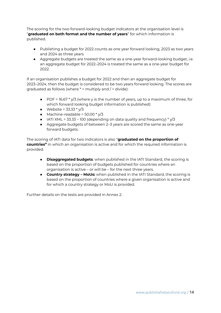The scoring for the two forward-looking budget indicators at the organisation level is "**graduated on both format and the number of years**" for which information is published.

- Publishing a budget for 2022 counts as one year forward looking, 2023 as two years and 2024 as three years
- Aggregate budgets are treated the same as a one-year forward-looking budget, i.e. an aggregate budget for 2022–2024 is treated the same as a one-year budget for 2022.

If an organisation publishes a budget for 2022 and then an aggregate budget for 2023–2024, then the budget is considered to be two years forward looking. The scores are graduated as follows (where  $* =$  multiply and  $/ =$  divide):

- PDF = 16.67  $*$  y/3 (where y is the number of years, up to a maximum of three, for which forward looking budget information is published)
- Website =  $33.33 * v/3$
- $\bullet$  Machine-readable = 50.00  $*$  y/3
- $\bullet$  IATI XML = 33.33 100 (depending on data quality and frequency) \*  $y/3$
- Aggregate budgets of between 2–3 years are scored the same as one-year forward budgets.

The scoring of IATI data for two indicators is also "**graduated on the proportion of countries"** in which an organisation is active and for which the required information is provided.

- **Disaggregated budgets**: when published in the IATI Standard, the scoring is based on the proportion of budgets published for countries where an organisation is active – or will be – for the next three years.
- **Country strategy – MoUs:** when published in the IATI Standard, the scoring is based on the proportion of countries where a given organisation is active and for which a country strategy or MoU is provided.

Further details on the tests are provided in Annex 2.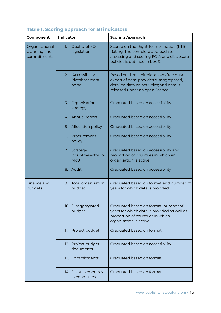| <b>Component</b>                              | <b>Indicator</b>                                 | <b>Scoring Approach</b>                                                                                                                                             |  |
|-----------------------------------------------|--------------------------------------------------|---------------------------------------------------------------------------------------------------------------------------------------------------------------------|--|
| Organisational<br>planning and<br>commitments | Quality of FOI<br>1.<br>legislation              | Scored on the Right To Information (RTI)<br>Rating. The complete approach to<br>assessing and scoring FOIA and disclosure<br>policies is outlined in box 3.         |  |
|                                               | Accessibility<br>2.<br>(database/data<br>portal) | Based on three criteria: allows free bulk<br>export of data; provides disaggregated,<br>detailed data on activities; and data is<br>released under an open licence. |  |
|                                               | 3. Organisation<br>strategy                      | Graduated based on accessibility                                                                                                                                    |  |
|                                               | 4. Annual report                                 | Graduated based on accessibility                                                                                                                                    |  |
|                                               | Allocation policy<br>5.                          | Graduated based on accessibility                                                                                                                                    |  |
|                                               | Procurement<br>6.<br>policy                      | Graduated based on accessibility                                                                                                                                    |  |
|                                               | 7.<br>Strategy<br>(country/sector) or<br>MoU     | Graduated based on accessibility and<br>proportion of countries in which an<br>organisation is active                                                               |  |
|                                               | 8. Audit                                         | Graduated based on accessibility                                                                                                                                    |  |
| Finance and<br>budgets                        | 9. Total organisation<br>budget                  | Graduated based on format and number of<br>years for which data is provided                                                                                         |  |
|                                               | 10. Disaggregated<br>budget                      | Graduated based on format, number of<br>years for which data is provided as well as<br>proportion of countries in which<br>organisation is active                   |  |
|                                               | 11. Project budget                               | Graduated based on format                                                                                                                                           |  |
|                                               | 12. Project budget<br>documents                  | Graduated based on accessibility                                                                                                                                    |  |
|                                               | 13. Commitments                                  | Graduated based on format                                                                                                                                           |  |
|                                               | 14. Disbursements &<br>expenditures              | Graduated based on format                                                                                                                                           |  |

# **Table 1. Scoring approach for all indicators**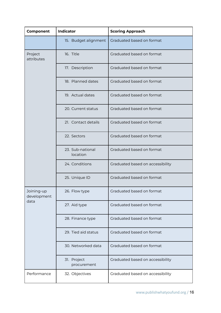| Component                 | <b>Indicator</b>             | <b>Scoring Approach</b>          |
|---------------------------|------------------------------|----------------------------------|
|                           | 15. Budget alignment         | Graduated based on format        |
| Project<br>attributes     | 16. Title                    | Graduated based on format        |
|                           | 17. Description              | Graduated based on format        |
|                           | 18. Planned dates            | Graduated based on format        |
|                           | 19. Actual dates             | Graduated based on format        |
|                           | 20. Current status           | Graduated based on format        |
|                           | 21. Contact details          | Graduated based on format        |
|                           | 22. Sectors                  | Graduated based on format        |
|                           | 23. Sub-national<br>location | Graduated based on format        |
|                           | 24. Conditions               | Graduated based on accessibility |
|                           | 25. Unique ID                | Graduated based on format        |
| Joining-up<br>development | 26. Flow type                | Graduated based on format        |
| data                      | 27. Aid type                 | Graduated based on format        |
|                           | 28. Finance type             | Graduated based on format        |
|                           | 29. Tied aid status          | Graduated based on format        |
|                           | 30. Networked data           | Graduated based on format        |
|                           | 31. Project<br>procurement   | Graduated based on accessibility |
| Performance               | 32. Objectives               | Graduated based on accessibility |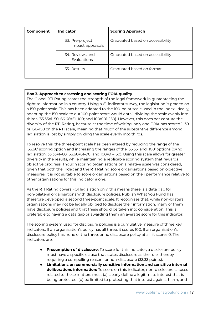| Component                                            | <b>Indicator</b>                     | <b>Scoring Approach</b>          |
|------------------------------------------------------|--------------------------------------|----------------------------------|
|                                                      | 33. Pre-project<br>impact appraisals | Graduated based on accessibility |
| 34. Reviews and<br><b>Evaluations</b><br>35. Results |                                      | Graduated based on accessibility |
|                                                      |                                      | Graduated based on format        |

## **Box 3. Approach to assessing and scoring FOIA quality**

The Global RTI Rating scores the strength of the legal framework in guaranteeing the right to information in a country. Using a 61-indicator survey, the legislation is graded on a 150-point scale. This has been adapted to the 100-point scale used in the Index. Ideally, adapting the 150-scale to our 100-point score would entail dividing the scale evenly into thirds (33.33=1–50; 66.66=51–100; and 100=101–150). However, this does not capture the diversity of the RTI Rating, because at the time of writing, only one FOIA has scored 1–39 or 136–150 on the RTI scale, meaning that much of the substantive difference among legislation is lost by simply dividing the scale evenly into thirds.

To resolve this, the three-point scale has been altered by reducing the range of the '66.66' scoring option and increasing the ranges of the '33.33' and '100' options (0=no legislation; 33.33=1–60; 66.66=61–90; and 100=91–150). Using this scale allows for greater diversity in the results, while maintaining a replicable scoring system that rewards objective progress. Though scoring organisations on a relative scale was considered, given that both the Index and the RTI Rating score organisations based on objective measures, it is not suitable to score organisations based on their performance relative to other organisations for this indicator alone.

As the RTI Rating covers FOI legislation only, this means there is a data gap for non-bilateral organisations with disclosure policies. Publish What You Fund has therefore developed a second three-point scale. It recognises that, while non-bilateral organisations may not be legally obliged to disclose their information, many of them have disclosure policies and that these should be taken into consideration. This is preferable to having a data gap or awarding them an average score for this indicator.

The scoring system used for disclosure policies is a cumulative measure of three key indicators. If an organisation's policy has all three, it scores 100. If an organisation's disclosure policy has none of the three, or no disclosure policy at all, it scores 0. The indicators are:

- **Presumption of disclosure:** To score for this indicator, a disclosure policy must have a specific clause that states disclosure as the rule, thereby requiring a compelling reason for non-disclosure (33.33 points).
- **Limitations on commercially sensitive information and sensitive internal deliberations information:** To score on this indicator, non-disclosure clauses related to these matters must (a) clearly define a legitimate interest that is being protected, (b) be limited to protecting that interest against harm, and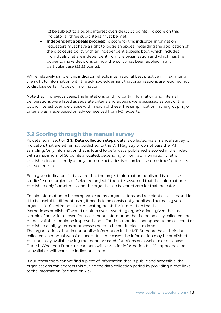(c) be subject to a public interest override (33.33 points). To score on this indicator all three sub-criteria must be met.

**Independent appeals process:** To score for this indicator, information requesters must have a right to lodge an appeal regarding the application of the disclosure policy with an independent appeals body which includes individuals that are independent from the organisation and which has the power to make decisions on how the policy has been applied in any particular case (33.33 points).

While relatively simple, this indicator reflects international best practice in maximising the right to information with the acknowledgement that organisations are required not to disclose certain types of information.

Note that in previous years, the limitations on third party information and internal deliberations were listed as separate criteria and appeals were assessed as part of the public interest override clause within each of these. The simplification in the grouping of criteria was made based on advice received from FOI experts.

# **3.2 Scoring through the manual survey**

As detailed in section **2.2. Data collection steps**, data is collected via a manual survey for indicators that are either not published to the IATI Registry or do not pass the IATI sampling. Only information that is found to be 'always' published is scored in the Index, with a maximum of 50 points allocated, depending on format. Information that is published inconsistently or only for some activities is recorded as 'sometimes' published but scored zero.

For a given indicator, if it is stated that the project information published is for 'case studies', 'some projects' or 'selected projects' then it is assumed that this information is published only 'sometimes' and the organisation is scored zero for that indicator.

For aid information to be comparable across organisations and recipient countries and for it to be useful to different users, it needs to be consistently published across a given organisation's entire portfolio. Allocating points for information that is "sometimes published" would result in over-rewarding organisations, given the small sample of activities chosen for assessment. Information that is sporadically collected and made available should be improved upon. For data that does not appear to be collected or published at all, systems or processes need to be put in place to do so. The organisations that do not publish information in the IATI Standard have their data collected via manual website checks. In some cases, the information may be published but not easily available using the menu or search functions on a website or database. Publish What You Fund's researchers will search for information but if it appears to be unavailable, will score the indicator as zero.

If our researchers cannot find a piece of information that is public and accessible, the organisations can address this during the data collection period by providing direct links to the information (see section 2.3).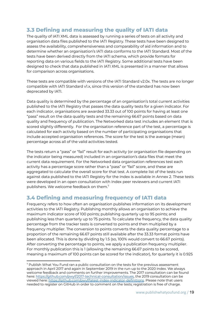# **3.3 Defining and measuring the quality of IATI data**

The quality of IATI XML data is assessed by running a series of tests on all activity and organisation data files published to the IATI Registry. These tests have been designed to assess the availability, comprehensiveness and comparability of aid information and to determine whether an organisation's IATI data conforms to the IATI Standard. Most of the tests have been derived directly from the IATI schema, which provide formats for reporting data on various fields to the IATI Registry. Some additional tests have been designed to check that data published in IATI XML is presented in a manner that allows for comparison across organisations.

These tests are compatible with versions of the IATI Standard v2.0x. The tests are no longer compatible with IATI Standard v1.x, since this version of the standard has now been deprecated by IATI.

Data quality is determined by the percentage of an organisation's total current activities published to the IATI Registry that passes the data quality tests for a given indicator. For each indicator, organisations are awarded 33.33 out of 100 points for having at least one "pass" result on the data quality tests and the remaining 66.67 points based on data quality and frequency of publication. The Networked data test includes an element that is scored slightly differently. For the organisation reference part of the test, a percentage is calculated for each activity based on the number of participating organisations that include accepted organisation references. The score for the test is the average (mean) percentage across all of the valid activities tested.

The tests return a "pass" or "fail" result for each activity (or organisation file depending on the indicator being measured) included in an organisation's data files that meet the current data requirement. For the Networked data organisation references test each activity has a percentage score rather than a "pass" or "fail" score, and these are aggregated to calculate the overall score for that test. A complete list of the tests run against data published to the IATI Registry for the Index is available in Annex 2. These tests were developed in an open consultation with Index peer reviewers and current IATI publishers. We welcome feedback on them.<sup>7</sup>

# **3.4 Defining and measuring frequency of IATI data**

Frequency refers to how often an organisation publishes information on its development activities to the IATI Registry. Publishing monthly allows an organisation to achieve the maximum indicator score of 100 points; publishing quarterly up to 95 points; and publishing less than quarterly up to 75 points. To calculate the frequency, the data quality percentage from the tracker tests is converted to points and then multiplied by a frequency multiplier. The conversion to points converts the data quality percentage to a proportion of the remaining 66.67 points still available after the 33.33 format points have been allocated. This is done by dividing by 1.5 (so, 100% would convert to 66.67 points). After converting the percentage to points, we apply a publication frequency multiplier. For monthly publication this is 1 (allowing the remaining 66.67 points to be scored, meaning a maximum of 100 points can be scored for the indicator), for quarterly it is 0.925

 $7$  Publish What You Fund ran a public consultation on the tests for the previous assessment approach in April 2017 and again in September 2019 in the run-up to the 2020 Index. We always welcome feedback and comments on further improvements. The 2017 consultation can be found here: [https://github.com/pwyf/2017-technical-consultation/issues,](https://github.com/pwyf/2017-technical-consultation/issues) the 2019 consultation can be viewed here: <https://github.com/pwyf/latest-index-indicator-definitions>. Please note that users needed to register on GitHub in order to comment on the tests; registration is free of charge.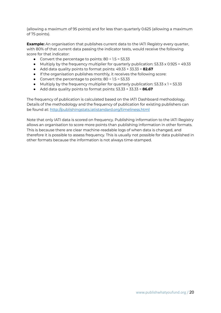(allowing a maximum of 95 points) and for less than quarterly 0.625 (allowing a maximum of 75 points).

**Example:** An organisation that publishes current data to the IATI Registry every quarter, with 80% of that current data passing the indicator tests, would receive the following score for that indicator:

- Convert the percentage to points:  $80 \div 1.5 = 53.33$
- $\bullet$  Multiply by the frequency multiplier for quarterly publication: 53.33 x 0.925 = 49.33
- Add data quality points to format points: 49.33 + 33.33 = **82.67**
- If the organisation publishes monthly, it receives the following score:
- Convert the percentage to points:  $80 \div 1.5 = 53.33$
- $\bullet$  Multiply by the frequency multiplier for quarterly publication: 53.33  $\times$  1 = 53.33
- Add data quality points to format points: 53.33 + 33.33 = **86.67**

The frequency of publication is calculated based on the IATI Dashboard methodology. Details of the methodology and the frequency of publication for existing publishers can be found at: <http://publishingstats.iatistandard.org/timeliness.html>

Note that only IATI data is scored on frequency. Publishing information to the IATI Registry allows an organisation to score more points than publishing information in other formats. This is because there are clear machine-readable logs of when data is changed, and therefore it is possible to assess frequency. This is usually not possible for data published in other formats because the information is not always time-stamped.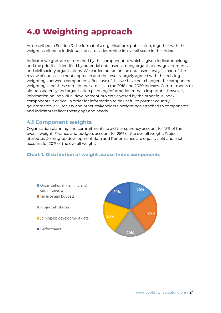# **4.0 Weighting approach**

As described in Section 3, the format of a organisation's publication, together with the weight ascribed to individual indicators, determine its overall score in the Index.

Indicator weights are determined by the component to which a given indicator belongs and the priorities identified by potential data users among organisations, governments and civil society organisations. We carried out an online data user survey as part of the review of our assessment approach and the results largely agreed with the existing weightings between components. Because of this we have not changed the component weightings and these remain the same as in the 2018 and 2020 Indexes. Commitments to aid transparency and organisation planning information remain important. However, information on individual development projects covered by the other four Index components is critical in order for information to be useful to partner country governments, civil society and other stakeholders. Weightings attached to components and indicators reflect these gaps and needs.

# **4.1 Component weights**

Organisation planning and commitments to aid transparency account for 15% of the overall weight. Finance and budgets account for 25% of the overall weight. Project attributes, Joining-up development data and Performance are equally split and each account for 20% of the overall weight.

## **Chart 1. Distribution of weight across Index components**

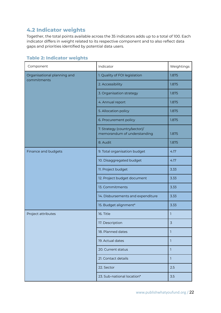# **4.2 Indicator weights**

Together, the total points available across the 35 indicators adds up to a total of 100. Each indicator differs in weight related to its respective component and to also reflect data gaps and priorities identified by potential data users.

|  |  |  | <b>Table 2: Indicator weights</b> |  |
|--|--|--|-----------------------------------|--|
|--|--|--|-----------------------------------|--|

| Component                   | Indicator                                                    | Weightings |
|-----------------------------|--------------------------------------------------------------|------------|
| Organisational planning and | 1. Quality of FOI legislation                                | 1.875      |
| commitments                 | 2. Accessibility                                             | 1.875      |
|                             | 3. Organisation strategy                                     | 1.875      |
|                             | 4. Annual report                                             | 1.875      |
|                             | 5. Allocation policy                                         | 1.875      |
|                             | 6. Procurement policy                                        | 1.875      |
|                             | 7. Strategy (country/sector)/<br>memorandum of understanding | 1.875      |
|                             | 8. Audit                                                     | 1.875      |
| Finance and budgets         | 9. Total organisation budget                                 | 4.17       |
|                             | 10. Disaggregated budget                                     | 4.17       |
|                             | 11. Project budget                                           | 3.33       |
|                             | 12. Project budget document                                  | 3.33       |
|                             | 13. Commitments                                              | 3.33       |
|                             | 14. Disbursements and expenditure                            | 3.33       |
|                             | 15. Budget alignment*                                        | 3.33       |
| Project attributes          | 16. Title                                                    | 1          |
|                             | 17. Description                                              | 3          |
|                             | 18. Planned dates                                            | 1          |
|                             | 19. Actual dates                                             | 1          |
|                             | 20. Current status                                           | 1          |
|                             | 21. Contact details                                          | 1          |
|                             | 22. Sector                                                   | 2.5        |
|                             | 23. Sub-national location*                                   | 3.5        |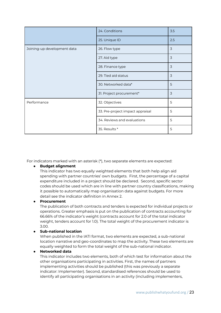|                             | 24. Conditions                   | 3.5 |
|-----------------------------|----------------------------------|-----|
|                             | 25. Unique ID                    | 2.5 |
| Joining-up development data | 26. Flow type                    | 3   |
|                             | 27. Aid type                     | 3   |
|                             | 28. Finance type                 | 3   |
|                             | 29. Tied aid status              | 3   |
|                             | 30. Networked data*              | 5   |
|                             | 31. Project procurement*         | 3   |
| Performance                 | 32. Objectives                   | 5   |
|                             | 33. Pre-project impact appraisal | 5   |
|                             | 34. Reviews and evaluations      | 5   |
|                             | 35. Results *                    | 5   |

For indicators marked with an asterisk (\*), two separate elements are expected:

#### **● Budget alignment**

This indicator has two equally weighted elements that both help align aid spending with partner countries' own budgets. First, the percentage of a capital expenditure included in a project should be declared. Second, specific sector codes should be used which are in line with partner country classifications, making it possible to automatically map organisation data against budgets. For more detail see the indicator definition in Annex 2.

#### **● Procurement**

The publication of both contracts and tenders is expected for individual projects or operations. Greater emphasis is put on the publication of contracts accounting for 66.66% of the indicator's weight (contracts account for 2.0 of the total indicator weight, tenders account for 1.0). The total weight of the procurement indicator is 3.00.

#### **● Sub-national location**

When published in the IATI format, two elements are expected, a sub-national location narrative and geo-coordinates to map the activity. These two elements are equally weighted to form the total weight of the sub-national indicator.

#### **● Networked data**

This indicator includes two elements, both of which test for information about the other organisations participating in activities. First, the names of partners implementing activities should be published (this was previously a separate indicator: Implementer). Second, standardised references should be used to identify all participating organisations in an activity (including implementers,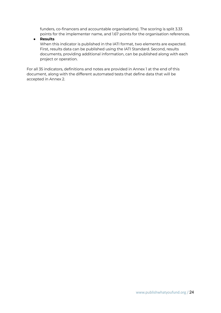funders, co-financers and accountable organisations). The scoring is split 3.33 points for the implementer name, and 1.67 points for the organisation references.

### **● Results**

When this indicator is published in the IATI format, two elements are expected. First, results data can be published using the IATI Standard. Second, results documents, providing additional information, can be published along with each project or operation.

For all 35 indicators, definitions and notes are provided in Annex 1 at the end of this document, along with the different automated tests that define data that will be accepted in Annex 2.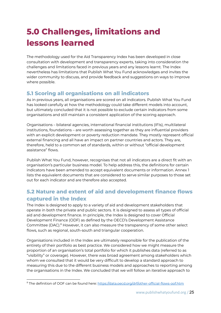# **5.0 Challenges, limitations and lessons learned**

The methodology used for the Aid Transparency Index has been developed in close consultation with development and transparency experts, taking into consideration the challenges and limitations faced in previous years and any lessons learnt. The Index nevertheless has limitations that Publish What You Fund acknowledges and invites the wider community to discuss, and provide feedback and suggestions on ways to improve where possible.

# **5.1 Scoring all organisations on all indicators**

As in previous years, all organisations are scored on all indicators. Publish What You Fund has looked carefully at how the methodology could take different models into account, but ultimately concluded that it is not possible to exclude certain indicators from some organisations and still maintain a consistent application of the scoring approach.

Organisations – bilateral agencies, international financial institutions (IFIs), multilateral institutions, foundations – are worth assessing together as they are influential providers with an explicit development or poverty reduction mandate. They mostly represent official external financing and all have an impact on partner countries and actors. They are, therefore, held to a common set of standards, within or without "official development assistance" flows.

Publish What You Fund, however, recognises that not all indicators are a direct fit with an organisation's particular business model. To help address this, the definitions for certain indicators have been amended to accept equivalent documents or information. Annex 1 lists the equivalent documents that are considered to serve similar purposes to those set out for each indicator and are therefore also accepted.

# **5.2 Nature and extent of aid and development finance flows captured in the Index**

The Index is designed to apply to a variety of aid and development stakeholders that operate in both the private and public sectors. It is designed to assess all types of official aid and development finance. In principle, the Index is designed to cover Official Development Finance (ODF) as defined by the OECD's Development Assistance Committee (DAC).<sup>8</sup> However, it can also measure the transparency of some other select flows, such as regional, south-south and triangular cooperation.

Organisations included in the Index are ultimately responsible for the publication of the entirety of their portfolio as best practice. We considered how we might measure the proportion of an organisation's total portfolio for which it publishes data (referred to as "visibility" or coverage). However, there was broad agreement among stakeholders which whom we consulted that it would be very difficult to develop a standard approach to measuring this due to the different business models and approaches to reporting among the organisations in the Index. We concluded that we will follow an iterative approach to

<sup>&</sup>lt;sup>8</sup> The definition of OOF can be found here[:](https://data.oecd.org/oda/net-oda.htm) <https://data.oecd.org/drf/other-official-flows-oof.htm>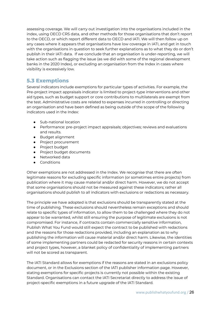assessing coverage. We will carry out investigation into the organisations included in the index, using OECD CRS data, and other methods for those organisations that don't report to the OECD, or which report different data to OECD and IATI. We will then follow up on any cases where it appears that organisations have low coverage in IATI, and get in touch with the organisations in question to seek further explanations as to what they do or don't publish in their IATI data. If we conclude that an organisation is under-reporting, we will take action such as flagging the issue (as we did with some of the regional development banks in the 2020 Index), or excluding an organisation from the Index in cases where visibility is excessively low.

## **5.3 Exemptions**

Several indicators include exemptions for particular types of activities. For example, the Pre-project impact appraisals indicator is limited to project-type interventions and other aid types, such as budget support or core contributions to multilaterals are exempt from the test. Administrative costs are related to expenses incurred in controlling or directing an organisation and have been defined as being outside of the scope of the following indicators used in the Index:

- Sub-national location
- Performance: pre-project impact appraisals; objectives; reviews and evaluations and results.
- Budget alignment
- Project procurement
- Project budget
- Project budget documents
- Networked data
- Conditions

Other exemptions are not addressed in the Index. We recognise that there are often legitimate reasons for excluding specific information (or sometimes entire projects) from publication where it may cause material and/or direct harm. However, we do not accept that some organisations should not be measured against these indicators; rather all organisations should publish to all indicators with exclusions or redactions as necessary.

The principle we have adopted is that exclusions should be transparently stated at the time of publishing. These exclusions should nevertheless remain exceptions and should relate to specific types of information, to allow them to be challenged where they do not appear to be warranted, whilst still ensuring the purpose of legitimate exclusions is not compromised. For instance, if contracts contain commercially sensitive information, Publish What You Fund would still expect the contract to be published with redactions and the reasons for those redactions provided, including an explanation as to why publishing the information will cause material and/or direct harm. Likewise, the identities of some implementing partners could be redacted for security reasons in certain contexts and project types, however, a blanket policy of confidentiality of implementing partners will not be scored as transparent.

The IATI Standard allows for exemptions if the reasons are stated in an exclusions policy document, or in the Exclusions section of the IATI publisher information page. However, stating exemptions for specific projects is currently not possible within the existing Standard. Organisations can contact the IATI Secretariat directly to address the issue of project-specific exemptions in a future upgrade of the IATI Standard.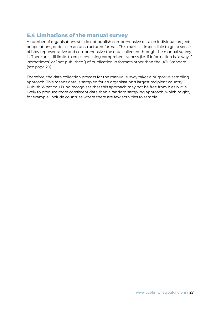# **5.4 Limitations of the manual survey**

A number of organisations still do not publish comprehensive data on individual projects or operations, or do so in an unstructured format. This makes it impossible to get a sense of how representative and comprehensive the data collected through the manual survey is. There are still limits to cross-checking comprehensiveness (i.e. if information is "always", "sometimes" or "not published") of publication in formats other than the IATI Standard (see page 20).

Therefore, the data collection process for the manual survey takes a purposive sampling approach. This means data is sampled for an organisation's largest recipient country. Publish What You Fund recognises that this approach may not be free from bias but is likely to produce more consistent data than a random sampling approach, which might, for example, include countries where there are few activities to sample.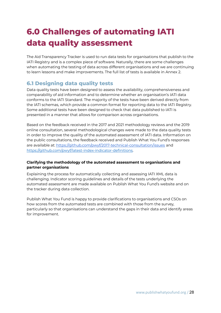# **6.0 Challenges of automating IATI data quality assessment**

The Aid Transparency Tracker is used to run data tests for organisations that publish to the IATI Registry and is a complex piece of software. Naturally, there are some challenges when automating the testing of data across different organisations and we are continuing to learn lessons and make improvements. The full list of tests is available in Annex 2.

# **6.1 Designing data quality tests**

Data quality tests have been designed to assess the availability, comprehensiveness and comparability of aid information and to determine whether an organisation's IATI data conforms to the IATI Standard. The majority of the tests have been derived directly from the IATI schemas, which provide a common format for reporting data to the IATI Registry. Some additional tests have been designed to check that data published to IATI is presented in a manner that allows for comparison across organisations.

Based on the feedback received in the 2017 and 2021 methodology reviews and the 2019 online consultation, several methodological changes were made to the data quality tests in order to improve the quality of the automated assessment of IATI data. Information on the public consultations, the feedback received and Publish What You Fund's responses are available at: <https://github.com/pwyf/2017-technical-consultation/issues> and [https://github.com/pwyf/latest-index-indicator-definitions.](https://github.com/pwyf/latest-index-indicator-definitions)

### **Clarifying the methodology of the automated assessment to organisations and partner organisations**

Explaining the process for automatically collecting and assessing IATI XML data is challenging. Indicator scoring guidelines and details of the tests underlying the automated assessment are made available on Publish What You Fund's website and on the tracker during data collection.

Publish What You Fund is happy to provide clarifications to organisations and CSOs on how scores from the automated tests are combined with those from the survey, particularly so that organisations can understand the gaps in their data and identify areas for improvement.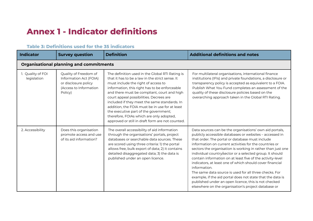# **Annex 1 - Indicator definitions**

| <b>Indicator</b>                 | <b>Survey question</b>                                                                                       | <b>Definition</b>                                                                                                                                                                                                                                                                                                                                                                                                                                                                                                               | <b>Additional definitions and notes</b>                                                                                                                                                                                                                                                                                                                                                                                                                                                                                                                                                                                                                                                                                                     |
|----------------------------------|--------------------------------------------------------------------------------------------------------------|---------------------------------------------------------------------------------------------------------------------------------------------------------------------------------------------------------------------------------------------------------------------------------------------------------------------------------------------------------------------------------------------------------------------------------------------------------------------------------------------------------------------------------|---------------------------------------------------------------------------------------------------------------------------------------------------------------------------------------------------------------------------------------------------------------------------------------------------------------------------------------------------------------------------------------------------------------------------------------------------------------------------------------------------------------------------------------------------------------------------------------------------------------------------------------------------------------------------------------------------------------------------------------------|
|                                  | <b>Organisational planning and commitments</b>                                                               |                                                                                                                                                                                                                                                                                                                                                                                                                                                                                                                                 |                                                                                                                                                                                                                                                                                                                                                                                                                                                                                                                                                                                                                                                                                                                                             |
| 1. Quality of FOI<br>legislation | Quality of Freedom of<br>Information Act (FOIA)<br>or disclosure policy<br>(Access to Information<br>Policy) | The definition used in the Global RTI Rating is<br>that it has to be a law in the strict sense. It<br>must include the right of access to<br>information, this right has to be enforceable<br>and there must be compliant, court and high<br>court appeal possibilities. Decrees are<br>included if they meet the same standards. In<br>addition, the FOIA must be in use for at least<br>the executive part of the government;<br>therefore, FOIAs which are only adopted,<br>approved or still in draft form are not counted. | For multilateral organisations, international finance<br>institutions (IFIs) and private foundations, a disclosure or<br>transparency policy is accepted as equivalent to a FOIA.<br>Publish What You Fund completes an assessment of the<br>quality of these disclosure policies based on the<br>overarching approach taken in the Global RTI Rating.                                                                                                                                                                                                                                                                                                                                                                                      |
| 2. Accessibility                 | Does this organisation<br>promote access and use<br>of its aid information?                                  | The overall accessibility of aid information<br>through the organisations' portals, project<br>databases or searchable data sources. These<br>are scored using three criteria: 1) the portal<br>allows free, bulk export of data; 2) it contains<br>detailed disaggregated data; 3) the data is<br>published under an open licence.                                                                                                                                                                                             | Data sources can be the organisations' own aid portals,<br>publicly accessible databases or websites - accessed in<br>that order. The portal or database must include<br>information on current activities for the countries or<br>sectors the organisation is working in rather than just one<br>individual country/sector or a selected group. It should<br>contain information on at least five of the activity-level<br>indicators, at least one of which should cover financial<br>information.<br>The same data source is used for all three checks. For<br>example, if the aid portal does not state that the data is<br>published under an open licence, this is not checked<br>elsewhere on the organisation's project database or |

## **Table 3: Definitions used for the 35 indicators**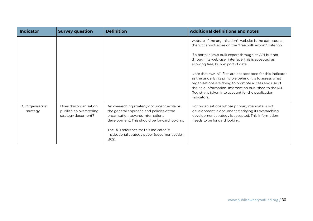| <b>Indicator</b>            | <b>Survey question</b>                                                 | <b>Definition</b>                                                                                                                                                                                                                                                                  | <b>Additional definitions and notes</b>                                                                                                                                                                                                                                                                                                                                                                                                                                                                                                                                                            |
|-----------------------------|------------------------------------------------------------------------|------------------------------------------------------------------------------------------------------------------------------------------------------------------------------------------------------------------------------------------------------------------------------------|----------------------------------------------------------------------------------------------------------------------------------------------------------------------------------------------------------------------------------------------------------------------------------------------------------------------------------------------------------------------------------------------------------------------------------------------------------------------------------------------------------------------------------------------------------------------------------------------------|
|                             |                                                                        |                                                                                                                                                                                                                                                                                    | website. If the organisation's website is the data source<br>then it cannot score on the "free bulk export" criterion.<br>If a portal allows bulk export through its API but not<br>through its web-user interface, this is accepted as<br>allowing free, bulk export of data.<br>Note that raw IATI files are not accepted for this indicator<br>as the underlying principle behind it is to assess what<br>organisations are doing to promote access and use of<br>their aid information. Information published to the IATI<br>Registry is taken into account for the publication<br>indicators. |
| 3. Organisation<br>strategy | Does this organisation<br>publish an overarching<br>strategy document? | An overarching strategy document explains<br>the general approach and policies of the<br>organisation towards international<br>development. This should be forward looking.<br>The IATI reference for this indicator is:<br>Institutional strategy paper (document code =<br>B02). | For organisations whose primary mandate is not<br>development, a document clarifying its overarching<br>development strategy is accepted. This information<br>needs to be forward looking.                                                                                                                                                                                                                                                                                                                                                                                                         |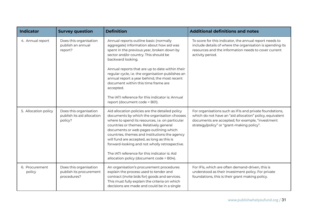| <b>Indicator</b>         | <b>Survey question</b>                                           | <b>Definition</b>                                                                                                                                                                                                                                                                                                                                                                                                                                                                    | <b>Additional definitions and notes</b>                                                                                                                                                                               |
|--------------------------|------------------------------------------------------------------|--------------------------------------------------------------------------------------------------------------------------------------------------------------------------------------------------------------------------------------------------------------------------------------------------------------------------------------------------------------------------------------------------------------------------------------------------------------------------------------|-----------------------------------------------------------------------------------------------------------------------------------------------------------------------------------------------------------------------|
| 4. Annual report         | Does this organisation<br>publish an annual<br>report?           | Annual reports outline basic (normally<br>aggregate) information about how aid was<br>spent in the previous year, broken down by<br>sector and/or country. This should be<br>backward looking.<br>Annual reports that are up to date within their<br>regular cycle, i.e. the organisation publishes an<br>annual report a year behind, the most recent<br>document within this time frame are<br>accepted.<br>The JATI reference for this indicator is: Annual                       | To score for this indicator, the annual report needs to<br>include details of where the organisation is spending its<br>resources and the information needs to cover current<br>activity period.                      |
|                          |                                                                  | report (document code = B01).                                                                                                                                                                                                                                                                                                                                                                                                                                                        |                                                                                                                                                                                                                       |
| 5. Allocation policy     | Does this organisation<br>publish its aid allocation<br>policy?  | Aid allocation policies are the detailed policy<br>documents by which the organisation chooses<br>where to spend its resources, i.e. on particular<br>countries or themes. Relatively general<br>documents or web pages outlining which<br>countries, themes and institutions the agency<br>will fund are accepted, as long as this is<br>forward-looking and not wholly retrospective.<br>The JATI reference for this indicator is: Aid<br>allocation policy (document code = B04). | For organisations such as IFIs and private foundations,<br>which do not have an "aid allocation" policy, equivalent<br>documents are accepted; for example, "investment<br>strategy/policy" or "grant-making policy". |
| 6. Procurement<br>policy | Does this organisation<br>publish its procurement<br>procedures? | An organisation's procurement procedures<br>explain the process used to tender and<br>contract (invite bids for) goods and services.<br>This must fully explain the criteria on which<br>decisions are made and could be in a single                                                                                                                                                                                                                                                 | For IFIs, which are often demand-driven, this is<br>understood as their investment policy. For private<br>foundations, this is their grant making policy.                                                             |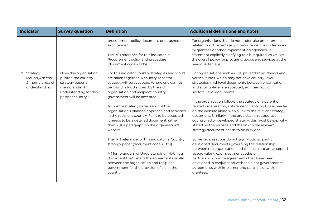| <b>Indicator</b>                                                    | <b>Survey question</b>                                                                                                           | <b>Definition</b>                                                                                                                                                                                                                                                                                                                                                                                                                                                                                                                                                                                                                                                                                                                                                                                        | <b>Additional definitions and notes</b>                                                                                                                                                                                                                                                                                                                                                                                                                                                                                                                                                                                                                                                                                                                                                                                                                                                                                                                                                                                                               |
|---------------------------------------------------------------------|----------------------------------------------------------------------------------------------------------------------------------|----------------------------------------------------------------------------------------------------------------------------------------------------------------------------------------------------------------------------------------------------------------------------------------------------------------------------------------------------------------------------------------------------------------------------------------------------------------------------------------------------------------------------------------------------------------------------------------------------------------------------------------------------------------------------------------------------------------------------------------------------------------------------------------------------------|-------------------------------------------------------------------------------------------------------------------------------------------------------------------------------------------------------------------------------------------------------------------------------------------------------------------------------------------------------------------------------------------------------------------------------------------------------------------------------------------------------------------------------------------------------------------------------------------------------------------------------------------------------------------------------------------------------------------------------------------------------------------------------------------------------------------------------------------------------------------------------------------------------------------------------------------------------------------------------------------------------------------------------------------------------|
|                                                                     |                                                                                                                                  | procurement policy document or attached to<br>each tender.<br>The IATI reference for this indicator is:<br>Procurement policy and procedure<br>(document code = B05).                                                                                                                                                                                                                                                                                                                                                                                                                                                                                                                                                                                                                                    | For organisations that do not undertake procurement<br>related to aid projects (e.g. if procurement is undertaken<br>by grantees or other implementing agencies), a<br>statement explicitly clarifying this is required, as well as<br>the overall policy for procuring goods and services at the<br>headquarter level.                                                                                                                                                                                                                                                                                                                                                                                                                                                                                                                                                                                                                                                                                                                               |
| 7. Strategy<br>(country/ sector)<br>& memoranda of<br>understanding | Does this organisation<br>publish the country<br>strategy paper or<br>memoranda of<br>understanding for this<br>partner country? | For this indicator country strategies and MoU's<br>are taken together. A country or sector<br>strategy will be accepted. Where one cannot<br>be found, a MoU signed by the aid<br>organisation and recipient country<br>government will be accepted.<br>A country strategy paper sets out the<br>organisation's planned approach and activities<br>in the recipient country. For it to be accepted<br>it needs to be a detailed document, rather<br>than just a paragraph on the organisation's<br>website.<br>The IATI reference for this indicator is: Country<br>strategy paper (document code = B03).<br>A Memorandum of Understanding (MoU) is a<br>document that details the agreement usually<br>between the organisation and recipient<br>government for the provision of aid in the<br>country. | For organisations such as IFIs, philanthropic donors and<br>vertical funds, which may not have country-level<br>strategies, mid-level documents between organisation<br>and activity-level are accepted, e.g. thematic or<br>sectoral-level documents.<br>If the organisation follows the strategy of a parent or<br>related organisation, a statement clarifying this is needed<br>on the website along with a link to the relevant strategy<br>document. Similarly, if the organisation supports a<br>country-led or developed strategy, this must be explicitly<br>stated on the website and the link to the relevant<br>strategy document needs to be provided.<br>Some organisations do not sign MoUs, so jointly<br>developed documents governing the relationship<br>between the organisation and the recipient are accepted<br>as equivalent, e.g. investment codes or<br>partnership/country agreements that have been<br>developed in conjunction with recipient governments,<br>agreements with implementing partners or with<br>grantees. |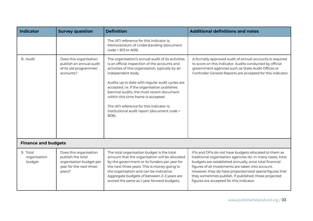| <b>Indicator</b>                   | <b>Survey question</b>                                                                                      | <b>Definition</b>                                                                                                                                                                                                                                                                                                                                                                                                                                                       | <b>Additional definitions and notes</b>                                                                                                                                                                                                                                                                                                                                                               |
|------------------------------------|-------------------------------------------------------------------------------------------------------------|-------------------------------------------------------------------------------------------------------------------------------------------------------------------------------------------------------------------------------------------------------------------------------------------------------------------------------------------------------------------------------------------------------------------------------------------------------------------------|-------------------------------------------------------------------------------------------------------------------------------------------------------------------------------------------------------------------------------------------------------------------------------------------------------------------------------------------------------------------------------------------------------|
|                                    |                                                                                                             | The IATI reference for this indicator is:<br>Memorandum of Understanding (document<br>$code = B13$ or A09).                                                                                                                                                                                                                                                                                                                                                             |                                                                                                                                                                                                                                                                                                                                                                                                       |
| 8. Audit                           | Does this organisation<br>publish an annual audit<br>of its aid programmes'<br>accounts?                    | The organisation's annual audit of its activities<br>is an official inspection of the accounts and<br>activities of this organisation, typically by an<br>independent body.<br>Audits up to date with regular audit cycles are<br>accepted, i.e. if the organisation publishes<br>biennial audits, the most recent document<br>within this time frame is accepted.<br>The IATI reference for this indicator is:<br>Institutional audit report (document code =<br>B06). | A formally approved audit of annual accounts is required<br>to score on this indicator. Audits conducted by official<br>government agencies such as State Audit Offices or<br>Controller General Reports are accepted for this indicator.                                                                                                                                                             |
| <b>Finance and budgets</b>         |                                                                                                             |                                                                                                                                                                                                                                                                                                                                                                                                                                                                         |                                                                                                                                                                                                                                                                                                                                                                                                       |
| 9. Total<br>organisation<br>budget | Does this organisation<br>publish the total<br>organisation budget per<br>year for the next three<br>years? | The total organisation budget is the total<br>amount that the organisation will be allocated<br>by the government or its funders per year for<br>the next three years. This is money going to<br>the organisation and can be indicative.<br>Aggregate budgets of between 2-3 years are<br>scored the same as 1-year forward budgets.                                                                                                                                    | IFIs and DFIs do not have budgets allocated to them as<br>traditional organisation agencies do. In many cases, total<br>budgets are established annually, once total financial<br>figures of all investments are taken into account.<br>However, they do have projected total spend figures that<br>they sometimes publish. If published, these projected<br>figures are accepted for this indicator. |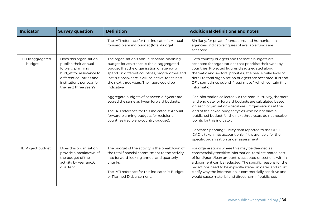| <b>Indicator</b>            | <b>Survey question</b>                                                                                                                                                          | <b>Definition</b>                                                                                                                                                                                                                                                                                                                                                                                                                                                                                   | <b>Additional definitions and notes</b>                                                                                                                                                                                                                                                                                                                                                                                                                                                                                                                                                                                                                                     |
|-----------------------------|---------------------------------------------------------------------------------------------------------------------------------------------------------------------------------|-----------------------------------------------------------------------------------------------------------------------------------------------------------------------------------------------------------------------------------------------------------------------------------------------------------------------------------------------------------------------------------------------------------------------------------------------------------------------------------------------------|-----------------------------------------------------------------------------------------------------------------------------------------------------------------------------------------------------------------------------------------------------------------------------------------------------------------------------------------------------------------------------------------------------------------------------------------------------------------------------------------------------------------------------------------------------------------------------------------------------------------------------------------------------------------------------|
|                             |                                                                                                                                                                                 | The IATI reference for this indicator is: Annual<br>forward planning budget (total-budget)                                                                                                                                                                                                                                                                                                                                                                                                          | Similarly, for private foundations and humanitarian<br>agencies, indicative figures of available funds are<br>accepted.                                                                                                                                                                                                                                                                                                                                                                                                                                                                                                                                                     |
| 10. Disaggregated<br>budget | Does this organisation<br>publish their annual<br>forward planning<br>budget for assistance to<br>different countries and<br>institutions per year for<br>the next three years? | The organisation's annual forward-planning<br>budget for assistance is the disaggregated<br>budget that the organisation or agency will<br>spend on different countries, programmes and<br>institutions where it will be active, for at least<br>the next three years. The figure could be<br>indicative.<br>Aggregate budgets of between 2-3 years are<br>scored the same as 1-year forward budgets.<br>The IATI reference for this indicator is: Annual<br>forward planning budgets for recipient | Both country budgets and thematic budgets are<br>accepted for organisations that prioritise their work by<br>countries. Projected figures disaggregated along<br>thematic and sectoral priorities, at a near similar level of<br>detail to total organisation budgets are accepted. IFIs and<br>DFIs sometimes publish "road maps", which contain this<br>information.<br>For information collected via the manual survey, the start<br>and end date for forward budgets are calculated based<br>on each organisation's fiscal year. Organisations at the<br>end of their fixed budget cycles who do not have a<br>published budget for the next three years do not receive |
|                             |                                                                                                                                                                                 | countries (recipient-country-budget).                                                                                                                                                                                                                                                                                                                                                                                                                                                               | points for this indicator.<br>Forward Spending Survey data reported to the OECD<br>DAC is taken into account only if it is available for the<br>specific organisation under assessment.                                                                                                                                                                                                                                                                                                                                                                                                                                                                                     |
| 11. Project budget          | Does this organisation<br>provide a breakdown of<br>the budget of the<br>activity by year and/or<br>quarter?                                                                    | The budget of the activity is the breakdown of<br>the total financial commitment to the activity<br>into forward-looking annual and quarterly<br>chunks.<br>The IATI reference for this indicator is: Budget<br>or Planned Disbursement.                                                                                                                                                                                                                                                            | For organisations where this may be deemed as<br>commercially sensitive information, total estimated cost<br>of fund/grant/loan amount is accepted or sections within<br>a document can be redacted. The specific reasons for the<br>redactions need to be explicitly stated in detail and must<br>clarify why the information is commercially sensitive and<br>would cause material and direct harm if published.                                                                                                                                                                                                                                                          |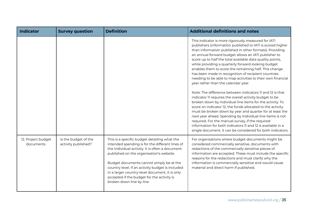| <b>Indicator</b>                | <b>Survey question</b>                      | <b>Definition</b>                                                                                                                                                                                                                                                                                                                                                                                                           | <b>Additional definitions and notes</b>                                                                                                                                                                                                                                                                                                                                                                                                                                                                                                                                                                                                                                                                                                                                                                                                                                                                                                                                                                                                                                                                                                    |
|---------------------------------|---------------------------------------------|-----------------------------------------------------------------------------------------------------------------------------------------------------------------------------------------------------------------------------------------------------------------------------------------------------------------------------------------------------------------------------------------------------------------------------|--------------------------------------------------------------------------------------------------------------------------------------------------------------------------------------------------------------------------------------------------------------------------------------------------------------------------------------------------------------------------------------------------------------------------------------------------------------------------------------------------------------------------------------------------------------------------------------------------------------------------------------------------------------------------------------------------------------------------------------------------------------------------------------------------------------------------------------------------------------------------------------------------------------------------------------------------------------------------------------------------------------------------------------------------------------------------------------------------------------------------------------------|
|                                 |                                             |                                                                                                                                                                                                                                                                                                                                                                                                                             | This indicator is more rigorously measured for IATI<br>publishers (information published to IATI is scored higher<br>than information published in other formats). Providing<br>an annual forward budget allows an IATI publisher to<br>score up to half the total available data quality points,<br>while providing a quarterly forward-looking budget<br>enables them to score the remaining half. This change<br>has been made in recognition of recipient countries<br>needing to be able to map activities to their own financial<br>year rather than the calendar year.<br>Note: The difference between indicators 11 and 12 is that<br>indicator II requires the overall activity budget to be<br>broken down by individual line items for the activity. To<br>score on indicator 12, the funds allocated to the activity<br>must be broken down by year and quarter for at least the<br>next year ahead. Spending by individual line items is not<br>required. For the manual survey, if the required<br>information for both indicators 11 and 12 is available in a<br>single document, it can be considered for both indicators. |
| 12. Project budget<br>documents | Is the budget of the<br>activity published? | This is a specific budget detailing what the<br>intended spending is for the different lines of<br>the individual activity. It is often a document<br>published on the organisation's website.<br>Budget documents cannot simply be at the<br>country level. If an activity budget is included<br>in a larger country-level document, it is only<br>accepted if the budget for the activity is<br>broken down line by line. | For organisations where budget documents might be<br>considered commercially sensitive, documents with<br>redactions of the commercially sensitive pieces of<br>information are accepted. These must include the specific<br>reasons for the redactions and must clarify why the<br>information is commercially sensitive and would cause<br>material and direct harm if published.                                                                                                                                                                                                                                                                                                                                                                                                                                                                                                                                                                                                                                                                                                                                                        |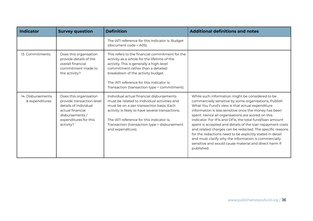| <b>Indicator</b>                    | <b>Survey question</b>                                                                                                                                    | <b>Definition</b>                                                                                                                                                                                                                                                                                                 | <b>Additional definitions and notes</b>                                                                                                                                                                                                                                                                                                                                                                                                                                                                                                                                                                                                                      |
|-------------------------------------|-----------------------------------------------------------------------------------------------------------------------------------------------------------|-------------------------------------------------------------------------------------------------------------------------------------------------------------------------------------------------------------------------------------------------------------------------------------------------------------------|--------------------------------------------------------------------------------------------------------------------------------------------------------------------------------------------------------------------------------------------------------------------------------------------------------------------------------------------------------------------------------------------------------------------------------------------------------------------------------------------------------------------------------------------------------------------------------------------------------------------------------------------------------------|
|                                     |                                                                                                                                                           | The IATI reference for this indicator is: Budget<br>(document code = A05).                                                                                                                                                                                                                                        |                                                                                                                                                                                                                                                                                                                                                                                                                                                                                                                                                                                                                                                              |
| 13. Commitments                     | Does this organisation<br>provide details of the<br>overall financial<br>commitment made to<br>the activity?                                              | This refers to the financial commitment for the<br>activity as a whole for the lifetime of the<br>activity. This is generally a high-level<br>commitment rather than a detailed<br>breakdown of the activity budget.<br>The JATL reference for this indicator is:<br>Transaction (transaction type = commitment). |                                                                                                                                                                                                                                                                                                                                                                                                                                                                                                                                                                                                                                                              |
| 14. Disbursements<br>& expenditures | Does this organisation<br>provide transaction-level<br>details of individual<br>actual financial<br>disbursements /<br>expenditures for this<br>activity? | Individual actual financial disbursements<br>must be related to individual activities and<br>must be on a per-transaction basis. Each<br>activity is likely to have several transactions.<br>The IATI reference for this indicator is:<br>Transaction (transaction type = disbursement<br>and expenditure).       | While such information might be considered to be<br>commercially sensitive by some organisations, Publish<br>What You Fund's view is that actual expenditure<br>information is less sensitive once the money has been<br>spent. Hence all organisations are scored on this<br>indicator. For IFIs and DFIs, the total fund/loan amount<br>spent is accepted and details of the loan repayment costs<br>and related charges can be redacted. The specific reasons<br>for the redactions need to be explicitly stated in detail<br>and must clarify why the information is commercially<br>sensitive and would cause material and direct harm if<br>published. |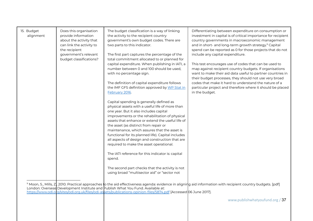| 15. Budget<br>alignment | Does this organisation<br>provide information<br>about the activity that<br>can link the activity to<br>the recipient<br>government's relevant<br>budget classifications? | The budget classification is a way of linking<br>the activity to the recipient country<br>government's own budget codes. There are<br>two parts to this indicator.<br>The first part captures the percentage of the<br>total commitment allocated to or planned for<br>capital expenditure. When publishing in IATI, a<br>number between 0 and 100 should be used,<br>with no percentage sign.<br>The definition of capital expenditure follows<br>the IMF GFS definition approved by WP Stat in<br>February 2016.<br>Capital spending is generally defined as<br>physical assets with a useful life of more than<br>one year. But it also includes capital<br>improvements or the rehabilitation of physical<br>assets that enhance or extend the useful life of<br>the asset (as distinct from repair or<br>maintenance, which assures that the asset is<br>functional for its planned life). Capital includes<br>all aspects of design and construction that are<br>required to make the asset operational.<br>The IATI reference for this indicator is: capital<br>spend.<br>The second part checks that the activity is not | Differentiating between expenditure on consumption or<br>investment in capital is of critical importance for recipient<br>country governments in macroeconomic management<br>and in short- and long-term growth strategy. <sup>9</sup> Capital<br>spend can be reported as 0 for those projects that do not<br>include any capital expenditure.<br>This test encourages use of codes that can be used to<br>map against recipient country budgets. If organisations<br>want to make their aid data useful to partner countries in<br>their budget processes, they should not use very broad<br>codes that make it hard to understand the nature of a<br>particular project and therefore where it should be placed<br>in the budget. |
|-------------------------|---------------------------------------------------------------------------------------------------------------------------------------------------------------------------|----------------------------------------------------------------------------------------------------------------------------------------------------------------------------------------------------------------------------------------------------------------------------------------------------------------------------------------------------------------------------------------------------------------------------------------------------------------------------------------------------------------------------------------------------------------------------------------------------------------------------------------------------------------------------------------------------------------------------------------------------------------------------------------------------------------------------------------------------------------------------------------------------------------------------------------------------------------------------------------------------------------------------------------------------------------------------------------------------------------------------------|--------------------------------------------------------------------------------------------------------------------------------------------------------------------------------------------------------------------------------------------------------------------------------------------------------------------------------------------------------------------------------------------------------------------------------------------------------------------------------------------------------------------------------------------------------------------------------------------------------------------------------------------------------------------------------------------------------------------------------------|
|                         |                                                                                                                                                                           | using broad "multisector aid" or "sector not                                                                                                                                                                                                                                                                                                                                                                                                                                                                                                                                                                                                                                                                                                                                                                                                                                                                                                                                                                                                                                                                                     |                                                                                                                                                                                                                                                                                                                                                                                                                                                                                                                                                                                                                                                                                                                                      |

 $^{\circ}$  Moon, S., Mills, Z,, 2010. Practical approaches to the aid effectiveness agenda: evidence in aligning aid information with recipient country budgets. [pdf] London: Overseas Development Institute and Publish What You Fund. Available at: <https://www.odi.org/sites/odi.org.uk/files/odi-assets/publications-opinion-files/5874.pdf> [Accessed 06 June 2017].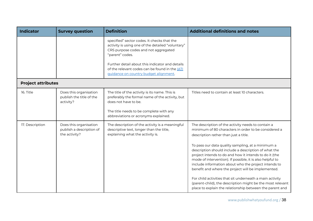| <b>Indicator</b>          | <b>Survey question</b>                                              | <b>Definition</b>                                                                                                                                           | <b>Additional definitions and notes</b>                                                                                                                                                                                                                                                                                                        |
|---------------------------|---------------------------------------------------------------------|-------------------------------------------------------------------------------------------------------------------------------------------------------------|------------------------------------------------------------------------------------------------------------------------------------------------------------------------------------------------------------------------------------------------------------------------------------------------------------------------------------------------|
|                           |                                                                     | specified" sector codes. It checks that the<br>activity is using one of the detailed "voluntary"<br>CRS purpose codes and not aggregated<br>"parent" codes. |                                                                                                                                                                                                                                                                                                                                                |
|                           |                                                                     | Further detail about this indicator and details<br>of the relevant codes can be found in the <b>IATI</b><br>guidance on country budget alignment.           |                                                                                                                                                                                                                                                                                                                                                |
| <b>Project attributes</b> |                                                                     |                                                                                                                                                             |                                                                                                                                                                                                                                                                                                                                                |
| 16. Title                 | Does this organisation<br>publish the title of the<br>activity?     | The title of the activity is its name. This is<br>preferably the formal name of the activity, but<br>does not have to be.                                   | Titles need to contain at least 10 characters.                                                                                                                                                                                                                                                                                                 |
|                           |                                                                     | The title needs to be complete with any<br>abbreviations or acronyms explained.                                                                             |                                                                                                                                                                                                                                                                                                                                                |
| 17. Description           | Does this organisation<br>publish a description of<br>the activity? | The description of the activity is a meaningful<br>descriptive text, longer than the title,<br>explaining what the activity is.                             | The description of the activity needs to contain a<br>minimum of 80 characters in order to be considered a<br>description rather than just a title.                                                                                                                                                                                            |
|                           |                                                                     |                                                                                                                                                             | To pass our data quality sampling, at a minimum a<br>description should include a description of what the<br>project intends to do and how it intends to do it (the<br>mode of intervention). If possible, it is also helpful to<br>include information about who the project intends to<br>benefit and where the project will be implemented. |
|                           |                                                                     |                                                                                                                                                             | For child activities that sit underneath a main activity<br>(parent-child), the description might be the most relevant<br>place to explain the relationship between the parent and                                                                                                                                                             |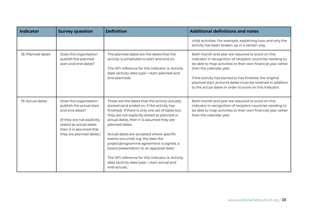| <b>Indicator</b>  | <b>Survey question</b>                                                                                                                                                               | <b>Definition</b>                                                                                                                                                                                                                                                                                                                                                                                                                                                                                                                                              | <b>Additional definitions and notes</b>                                                                                                                                                                                                                                                                                                                                                         |
|-------------------|--------------------------------------------------------------------------------------------------------------------------------------------------------------------------------------|----------------------------------------------------------------------------------------------------------------------------------------------------------------------------------------------------------------------------------------------------------------------------------------------------------------------------------------------------------------------------------------------------------------------------------------------------------------------------------------------------------------------------------------------------------------|-------------------------------------------------------------------------------------------------------------------------------------------------------------------------------------------------------------------------------------------------------------------------------------------------------------------------------------------------------------------------------------------------|
|                   |                                                                                                                                                                                      |                                                                                                                                                                                                                                                                                                                                                                                                                                                                                                                                                                | child activities. For example, explaining how and why the<br>activity has been broken up in a certain way.                                                                                                                                                                                                                                                                                      |
| 18. Planned dates | Does this organisation<br>publish the planned<br>start and end dates?                                                                                                                | The planned dates are the dates that the<br>activity is scheduled to start and end on.<br>The IATI reference for this indicator is: Activity<br>date (activity date type = start-planned and<br>end-planned).                                                                                                                                                                                                                                                                                                                                                  | Both month and year are required to score on this<br>indicator in recognition of recipient countries needing to<br>be able to map activities to their own financial year rather<br>than the calendar year.<br>If the activity has started or has finished, the original<br>planned start and end dates must be retained in addition<br>to the actual dates in order to score on this indicator. |
| 19. Actual dates  | Does this organisation<br>publish the actual start<br>and end dates?<br>(If they are not explicitly<br>stated as actual dates<br>then it is assumed that<br>they are planned dates.) | These are the dates that the activity actually<br>started (and ended on, if the activity has<br>finished). If there is only one set of dates but<br>they are not explicitly stated as planned or<br>actual dates, then it is assumed they are<br>planned dates.<br>Actual dates are accepted where specific<br>events occurred, e.g. the date the<br>project/programme agreement is signed, a<br>board presentation or an appraisal date.<br>The IATI reference for this indicator is: Activity<br>date (activity date type = start-actual and<br>end-actual). | Both month and year are required to score on this<br>indicator in recognition of recipient countries needing to<br>be able to map activities to their own financial year rather<br>than the calendar year.                                                                                                                                                                                      |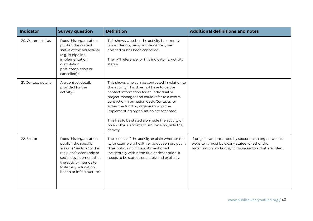| <b>Indicator</b>    | <b>Survey question</b>                                                                                                                                                                                               | <b>Definition</b>                                                                                                                                                                                                                                                                                                                                                                                                                            | <b>Additional definitions and notes</b>                                                                                                                                 |
|---------------------|----------------------------------------------------------------------------------------------------------------------------------------------------------------------------------------------------------------------|----------------------------------------------------------------------------------------------------------------------------------------------------------------------------------------------------------------------------------------------------------------------------------------------------------------------------------------------------------------------------------------------------------------------------------------------|-------------------------------------------------------------------------------------------------------------------------------------------------------------------------|
| 20. Current status  | Does this organisation<br>publish the current<br>status of the aid activity<br>(e.g. in pipeline,<br>implementation,<br>completion,<br>post-completion or<br>cancelled)?                                             | This shows whether the activity is currently<br>under design, being implemented, has<br>finished or has been cancelled.<br>The IATI reference for this indicator is: Activity<br>status.                                                                                                                                                                                                                                                     |                                                                                                                                                                         |
| 21. Contact details | Are contact details<br>provided for the<br>activity?                                                                                                                                                                 | This shows who can be contacted in relation to<br>this activity. This does not have to be the<br>contact information for an individual or<br>project manager and could refer to a central<br>contact or information desk. Contacts for<br>either the funding organisation or the<br>implementing organisation are accepted.<br>This has to be stated alongside the activity or<br>on an obvious "contact us" link alongside the<br>activity. |                                                                                                                                                                         |
| 22. Sector          | Does this organisation<br>publish the specific<br>areas or "sectors" of the<br>recipient's economic or<br>social development that<br>the activity intends to<br>foster, e.g. education,<br>health or infrastructure? | The sectors of the activity explain whether this<br>is, for example, a health or education project. It<br>does not count if it is just mentioned<br>incidentally within the title or description. It<br>needs to be stated separately and explicitly.                                                                                                                                                                                        | If projects are presented by sector on an organisation's<br>website, it must be clearly stated whether the<br>organisation works only in those sectors that are listed. |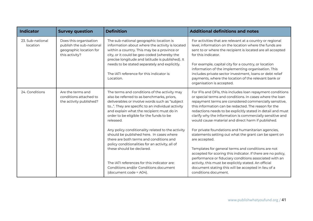| <b>Indicator</b>             | <b>Survey question</b>                                                                          | <b>Definition</b>                                                                                                                                                                                                                                                                                                                                       | <b>Additional definitions and notes</b>                                                                                                                                                                                                                                                                                                                                                                                                                                 |
|------------------------------|-------------------------------------------------------------------------------------------------|---------------------------------------------------------------------------------------------------------------------------------------------------------------------------------------------------------------------------------------------------------------------------------------------------------------------------------------------------------|-------------------------------------------------------------------------------------------------------------------------------------------------------------------------------------------------------------------------------------------------------------------------------------------------------------------------------------------------------------------------------------------------------------------------------------------------------------------------|
| 23. Sub-national<br>location | Does this organisation<br>publish the sub-national<br>geographic location for<br>this activity? | The sub-national geographic location is<br>information about where the activity is located<br>within a country. This may be a province or<br>city, or it could be geo-coded (whereby the<br>precise longitude and latitude is published). It<br>needs to be stated separately and explicitly.<br>The IATI reference for this indicator is:<br>Location. | For activities that are relevant at a country or regional<br>level, information on the location where the funds are<br>sent to or where the recipient is located are all accepted<br>for this indicator.<br>For example, capital city for a country, or location<br>information of the implementing organisation. This<br>includes private sector investment, loans or debt relief<br>payments, where the location of the relevant bank or<br>organisation is accepted. |
| 24. Conditions               | Are the terms and<br>conditions attached to<br>the activity published?                          | The terms and conditions of the activity may<br>also be referred to as benchmarks, priors,<br>deliverables or involve words such as "subject<br>to". They are specific to an individual activity<br>and explain what the recipient must do in<br>order to be eligible for the funds to be<br>released.                                                  | For IFIs and DFIs, this includes loan repayment conditions<br>or special terms and conditions. In cases where the loan<br>repayment terms are considered commercially sensitive,<br>this information can be redacted. The reason for the<br>redactions needs to be explicitly stated in detail and must<br>clarify why the information is commercially sensitive and<br>would cause material and direct harm if published.                                              |
|                              |                                                                                                 | Any policy conditionality related to the activity<br>should be published here. In cases where<br>there are both terms and conditions and<br>policy conditionalities for an activity, all of<br>these should be declared.<br>The IATI references for this indicator are:                                                                                 | For private foundations and humanitarian agencies,<br>statements setting out what the grant can be spent on<br>are accepted.<br>Templates for general terms and conditions are not<br>accepted for scoring this indicator. If there are no policy,<br>performance or fiduciary conditions associated with an<br>activity, this must be explicitly stated. An official                                                                                                   |
|                              |                                                                                                 | Conditions and/or Conditions document<br>(document code = A04).                                                                                                                                                                                                                                                                                         | document stating this will be accepted in lieu of a<br>conditions document.                                                                                                                                                                                                                                                                                                                                                                                             |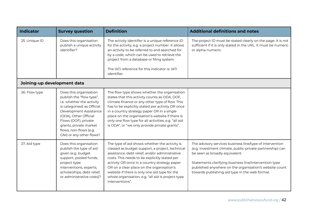| <b>Indicator</b>            | <b>Survey question</b>                                                                                                                                                                                                                                                   | <b>Definition</b>                                                                                                                                                                                                                                                                                                                                                                                                         | <b>Additional definitions and notes</b>                                                                                                                                                                                                                                                                                      |
|-----------------------------|--------------------------------------------------------------------------------------------------------------------------------------------------------------------------------------------------------------------------------------------------------------------------|---------------------------------------------------------------------------------------------------------------------------------------------------------------------------------------------------------------------------------------------------------------------------------------------------------------------------------------------------------------------------------------------------------------------------|------------------------------------------------------------------------------------------------------------------------------------------------------------------------------------------------------------------------------------------------------------------------------------------------------------------------------|
| 25. Unique ID               | Does this organisation<br>publish a unique activity<br>identifier?                                                                                                                                                                                                       | The activity identifier is a unique reference ID<br>for the activity, e.g. a project number. It allows<br>an activity to be referred to and searched for<br>by a code, which can be used to retrieve the<br>project from a database or filing system.<br>The IATI reference for this indicator is: IATI<br>identifier.                                                                                                    | The project ID must be stated clearly on the page. It is not<br>sufficient if it is only stated in the URL. It must be numeric<br>or alpha-numeric.                                                                                                                                                                          |
| Joining-up development data |                                                                                                                                                                                                                                                                          |                                                                                                                                                                                                                                                                                                                                                                                                                           |                                                                                                                                                                                                                                                                                                                              |
| 26. Flow type               | Does this organisation<br>publish the "flow type",<br>i.e. whether the activity<br>is categorised as Official<br>Development Assistance<br>(ODA), Other Official<br>Flows (OOF), private<br>grants, private market<br>flows, non-flows (e.g.<br>GNI) or any other flows? | The flow type shows whether the organisation<br>states that this activity counts as ODA, OOF,<br>climate finance or any other type of flow. This<br>has to be explicitly stated per activity OR once<br>in a country strategy paper OR in a single<br>place on the organisation's website if there is<br>only one flow type for all activities, e.g. "all aid<br>is ODA", or "we only provide private grants".            |                                                                                                                                                                                                                                                                                                                              |
| 27. Aid type                | Does this organisation<br>publish the type of aid<br>given (e.g. budget<br>support, pooled funds,<br>project-type<br>interventions, experts,<br>scholarships, debt relief,<br>or administrative costs)?                                                                  | The type of aid shows whether the activity is<br>classed as budget support, a project, technical<br>assistance, debt relief, and/or administrative<br>costs. This needs to be explicitly stated per<br>activity OR once in a country strategy paper<br>OR on a clear place on the organisation's<br>website if there is only one aid type for the<br>whole organisation, e.g. "all aid is project-type<br>interventions". | The advisory services business line/type of intervention<br>(e.g. investment climate, public-private partnership) can<br>be seen as broadly equivalent.<br>Statements clarifying business line/intervention type<br>published anywhere on the organisation's website count<br>towards publishing aid type in the web format. |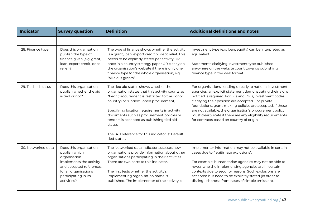| <b>Indicator</b>    | <b>Survey question</b>                                                                                                                                                        | <b>Definition</b>                                                                                                                                                                                                                                                                                                                                                                                                  | <b>Additional definitions and notes</b>                                                                                                                                                                                                                                                                                                                                                                                                                                            |
|---------------------|-------------------------------------------------------------------------------------------------------------------------------------------------------------------------------|--------------------------------------------------------------------------------------------------------------------------------------------------------------------------------------------------------------------------------------------------------------------------------------------------------------------------------------------------------------------------------------------------------------------|------------------------------------------------------------------------------------------------------------------------------------------------------------------------------------------------------------------------------------------------------------------------------------------------------------------------------------------------------------------------------------------------------------------------------------------------------------------------------------|
|                     |                                                                                                                                                                               |                                                                                                                                                                                                                                                                                                                                                                                                                    |                                                                                                                                                                                                                                                                                                                                                                                                                                                                                    |
| 28. Finance type    | Does this organisation<br>publish the type of<br>finance given (e.g. grant,<br>loan, export credit, debt<br>relief)?                                                          | The type of finance shows whether the activity<br>is a grant, loan, export credit or debt relief. This<br>needs to be explicitly stated per activity OR<br>once in a country strategy paper OR clearly on<br>the organisation's website if there is only one<br>finance type for the whole organisation, e.g.<br>"all aid is grants".                                                                              | Investment type (e.g. loan, equity) can be interpreted as<br>equivalent.<br>Statements clarifying investment type published<br>anywhere on the website count towards publishing<br>finance type in the web format.                                                                                                                                                                                                                                                                 |
| 29. Tied aid status | Does this organisation<br>publish whether the aid<br>is tied or not?                                                                                                          | The tied aid status shows whether the<br>organisation states that this activity counts as<br>"tied" (procurement is restricted to the donor<br>country) or "untied" (open procurement).<br>Specifying location requirements in activity<br>documents such as procurement policies or<br>tenders is accepted as publishing tied aid<br>status.<br>The IATI reference for this indicator is: Default<br>tied status. | For organisations' lending directly to national investment<br>agencies, an explicit statement demonstrating their aid is<br>not tied is required. For IFIs and DFIs, investment codes<br>clarifying their position are accepted. For private<br>foundations, grant-making policies are accepted. If these<br>are not available, the organisation's procurement policy<br>must clearly state if there are any eligibility requirements<br>for contracts based on country of origin. |
| 30. Networked data  | Does this organisation<br>publish which<br>organisation<br>implements the activity<br>and accepted references<br>for all organisations<br>participating in its<br>activities? | The Networked data indicator assesses how<br>organisations provide information about other<br>organisations participating in their activities.<br>There are two parts to this indicator.<br>The first tests whether the activity's<br>implementing organisation name is<br>published. The implementer of the activity is                                                                                           | Implementer information may not be available in certain<br>cases due to "legitimate exclusions".<br>For example, humanitarian agencies may not be able to<br>reveal who the implementing agencies are in certain<br>contexts due to security reasons. Such exclusions are<br>accepted but need to be explicitly stated (in order to<br>distinguish these from cases of simple omission).                                                                                           |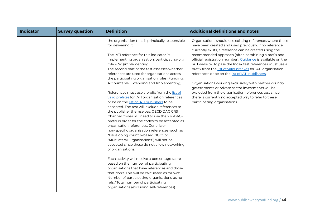| <b>Indicator</b> | <b>Survey question</b> | <b>Definition</b>                                                                                                                                                                                                                                                                                                                                                                                                                                                                                                                                                                                                                                                                                                                                                                                                                                                                                                                                                                                                                                                                                                                                                                                                                                                                                                             | <b>Additional definitions and notes</b>                                                                                                                                                                                                                                                                                                                                                                                                                                                                                                                                                                                                                                                                                                            |
|------------------|------------------------|-------------------------------------------------------------------------------------------------------------------------------------------------------------------------------------------------------------------------------------------------------------------------------------------------------------------------------------------------------------------------------------------------------------------------------------------------------------------------------------------------------------------------------------------------------------------------------------------------------------------------------------------------------------------------------------------------------------------------------------------------------------------------------------------------------------------------------------------------------------------------------------------------------------------------------------------------------------------------------------------------------------------------------------------------------------------------------------------------------------------------------------------------------------------------------------------------------------------------------------------------------------------------------------------------------------------------------|----------------------------------------------------------------------------------------------------------------------------------------------------------------------------------------------------------------------------------------------------------------------------------------------------------------------------------------------------------------------------------------------------------------------------------------------------------------------------------------------------------------------------------------------------------------------------------------------------------------------------------------------------------------------------------------------------------------------------------------------------|
|                  |                        | the organisation that is principally responsible<br>for delivering it.<br>The IATI reference for this indicator is:<br>Implementing organisation: participating-org<br>role = "4" (implementing).<br>The second part of the test assesses whether<br>references are used for organisations across<br>the participating organisation roles (Funding,<br>Accountable, Extending and Implementing).<br>References must use a prefix from the list of<br>valid prefixes for IATI organisation references<br>or be on the list of IATI publishers to be<br>accepted. The test will exclude references to<br>the publisher themselves. OECD DAC CRS<br>Channel Codes will need to use the XM-DAC-<br>prefix in order for the codes to be accepted as<br>organisation references. Generic or<br>non-specific organisation references (such as<br>"Developing country-based NGO" or<br>"Multilateral Organisations") will not be<br>accepted since these do not allow networking<br>of organisations.<br>Each activity will receive a percentage score<br>based on the number of participating<br>organisations that have references and those<br>that don't. This will be calculated as follows:<br>Number of participating organisations using<br>refs / Total number of participating<br>organisations (excluding self-references) | Organisations should use existing references where these<br>have been created and used previously. If no reference<br>currently exists, a reference can be created using the<br>recommended approach (often combining a prefix and<br>official registration number). Guidance is available on the<br>IATI website. To pass the Index test references must use a<br>prefix from the list of valid prefixes for IATI organisation<br>references or be on the list of IATI publishers.<br>Organisations working exclusively with partner country<br>governments or private sector investments will be<br>excluded from the organisation references test since<br>there is currently no accepted way to refer to these<br>participating organisations. |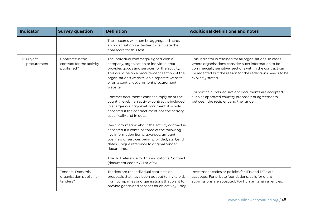| <b>Indicator</b>           | <b>Survey question</b>                                       | <b>Definition</b>                                                                                                                                                                                                                                                                                                                                                                                                                                                                                                                                                                                                                                                                                                                                                                                                                                                                           | <b>Additional definitions and notes</b>                                                                                                                                                                                                                                                                                                                                                                                 |
|----------------------------|--------------------------------------------------------------|---------------------------------------------------------------------------------------------------------------------------------------------------------------------------------------------------------------------------------------------------------------------------------------------------------------------------------------------------------------------------------------------------------------------------------------------------------------------------------------------------------------------------------------------------------------------------------------------------------------------------------------------------------------------------------------------------------------------------------------------------------------------------------------------------------------------------------------------------------------------------------------------|-------------------------------------------------------------------------------------------------------------------------------------------------------------------------------------------------------------------------------------------------------------------------------------------------------------------------------------------------------------------------------------------------------------------------|
|                            |                                                              | These scores will then be aggregated across<br>an organisation's activities to calculate the<br>final score for this test.                                                                                                                                                                                                                                                                                                                                                                                                                                                                                                                                                                                                                                                                                                                                                                  |                                                                                                                                                                                                                                                                                                                                                                                                                         |
| 31. Project<br>procurement | Contracts: Is the<br>contract for the activity<br>published? | The individual contract(s) signed with a<br>company, organisation or individual that<br>provides goods and services for the activity.<br>This could be on a procurement section of the<br>organisation's website, on a separate website<br>or on a central government procurement<br>website.<br>Contract documents cannot simply be at the<br>country level. If an activity contract is included<br>in a larger country-level document, it is only<br>accepted if the contract mentions the activity<br>specifically and in detail.<br>Basic information about the activity contract is<br>accepted if it contains three of the following<br>five information items: awardee, amount,<br>overview of services being provided, start/end<br>dates, unique reference to original tender<br>documents.<br>The IATI reference for this indicator is: Contract<br>(document code = A11 or A06). | This indicator is retained for all organisations. In cases<br>where organisations consider such information to be<br>commercially sensitive, sections within the contract can<br>be redacted but the reason for the redactions needs to be<br>explicitly stated.<br>For vertical funds, equivalent documents are accepted,<br>such as approved country proposals or agreements<br>between the recipient and the funder. |
|                            | Tenders: Does this<br>organisation publish all<br>tenders?   | Tenders are the individual contracts or<br>proposals that have been put out to invite bids<br>from companies or organisations that want to<br>provide goods and services for an activity. They                                                                                                                                                                                                                                                                                                                                                                                                                                                                                                                                                                                                                                                                                              | Investment codes or policies for IFIs and DFIs are<br>accepted. For private foundations, calls for grant<br>submissions are accepted. For humanitarian agencies,                                                                                                                                                                                                                                                        |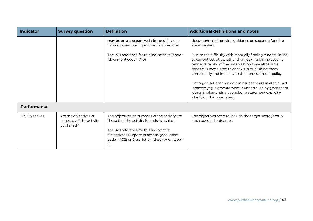| <b>Indicator</b>   | <b>Survey question</b>                                          | <b>Definition</b>                                                                                                                                                                                                                                 | <b>Additional definitions and notes</b>                                                                                                                                                                                                                                                                                                                                                                                                       |
|--------------------|-----------------------------------------------------------------|---------------------------------------------------------------------------------------------------------------------------------------------------------------------------------------------------------------------------------------------------|-----------------------------------------------------------------------------------------------------------------------------------------------------------------------------------------------------------------------------------------------------------------------------------------------------------------------------------------------------------------------------------------------------------------------------------------------|
|                    |                                                                 | may be on a separate website, possibly on a<br>central government procurement website.<br>The JATI reference for this indicator is: Tender<br>(document code = A10).                                                                              | documents that provide guidance on securing funding<br>are accepted.<br>Due to the difficulty with manually finding tenders linked<br>to current activities, rather than looking for the specific<br>tender, a review of the organisation's overall calls for<br>tenders is completed to check it is publishing them<br>consistently and in-line with their procurement policy.<br>For organisations that do not issue tenders related to aid |
|                    |                                                                 |                                                                                                                                                                                                                                                   | projects (e.g. if procurement is undertaken by grantees or<br>other implementing agencies), a statement explicitly<br>clarifying this is required.                                                                                                                                                                                                                                                                                            |
| <b>Performance</b> |                                                                 |                                                                                                                                                                                                                                                   |                                                                                                                                                                                                                                                                                                                                                                                                                                               |
| 32. Objectives     | Are the objectives or<br>purposes of the activity<br>published? | The objectives or purposes of the activity are<br>those that the activity intends to achieve.<br>The IATI reference for this indicator is:<br>Objectives / Purpose of activity (document<br>code = A02) or Description (description type =<br>2). | The objectives need to include the target sector/group<br>and expected outcomes.                                                                                                                                                                                                                                                                                                                                                              |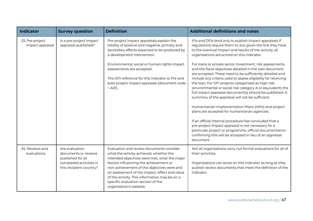| <b>Indicator</b>                    | <b>Survey question</b>                                                                                            | <b>Definition</b>                                                                                                                                                                                                                                                                                                                                                                              | <b>Additional definitions and notes</b>                                                                                                                                                                                                                                                                                                                                                                                                                                                                                                                                                                                                                                                                                                                                                                                                                                                                                                                                                                                                                                                |
|-------------------------------------|-------------------------------------------------------------------------------------------------------------------|------------------------------------------------------------------------------------------------------------------------------------------------------------------------------------------------------------------------------------------------------------------------------------------------------------------------------------------------------------------------------------------------|----------------------------------------------------------------------------------------------------------------------------------------------------------------------------------------------------------------------------------------------------------------------------------------------------------------------------------------------------------------------------------------------------------------------------------------------------------------------------------------------------------------------------------------------------------------------------------------------------------------------------------------------------------------------------------------------------------------------------------------------------------------------------------------------------------------------------------------------------------------------------------------------------------------------------------------------------------------------------------------------------------------------------------------------------------------------------------------|
| 33. Pre-project<br>impact appraisal | Is a pre-project impact<br>appraisal published?                                                                   | Pre-project impact appraisals explain the<br>totality of positive and negative, primary and<br>secondary effects expected to be produced by<br>a development intervention.<br>Environmental, social or human rights impact<br>assessments are accepted.<br>The IATI reference for this indicator is: Pre and<br>post-project impact appraisal (document code<br>$=$ A01).                      | IFIs and DFIs tend only to publish impact appraisals if<br>regulations require them to, but given the link they have<br>to the eventual impact and results of the activity, all<br>organisations are scored on this indicator.<br>For loans or private sector investment, risk assessments<br>and the fiscal objectives detailed in the loan document<br>are accepted. These need to be sufficiently detailed and<br>include any criteria used to assess eligibility for receiving<br>the loan. For DFI projects categorised as high-risk<br>(environmental or social risk category A or equivalent) the<br>full impact appraisal document(s) should be published. A<br>summary of the appraisal will not be sufficient.<br>Humanitarian Implementation Plans (HIPs) and project<br>plans are accepted for humanitarian agencies.<br>If an official internal procedure has concluded that a<br>pre-project impact appraisal is not necessary for a<br>particular project or programme, official documentation<br>confirming this will be accepted in lieu of an appraisal<br>document. |
| 34. Reviews and<br>evaluations      | Are evaluation<br>documents or reviews<br>published for all<br>completed activities in<br>this recipient country? | Evaluation and review documents consider<br>what the activity achieved, whether the<br>intended objectives were met, what the major<br>factors influencing the achievement or<br>non-achievement of the objectives were and<br>an assessment of the impact, effect and value<br>of the activity. This information may be on a<br>specific evaluation section of the<br>organisation's website. | Not all organisations carry out formal evaluations for all of<br>their activities.<br>Organisations can score on this indicator as long as they<br>publish review documents that meet the definition of the<br>indicator.                                                                                                                                                                                                                                                                                                                                                                                                                                                                                                                                                                                                                                                                                                                                                                                                                                                              |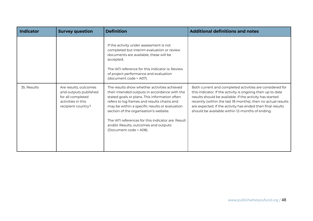| Indicator   | <b>Survey question</b>                                                                                          | <b>Definition</b>                                                                                                                                                                                                                                                                                                                                                                                                 | <b>Additional definitions and notes</b>                                                                                                                                                                                                                                                                                                                             |
|-------------|-----------------------------------------------------------------------------------------------------------------|-------------------------------------------------------------------------------------------------------------------------------------------------------------------------------------------------------------------------------------------------------------------------------------------------------------------------------------------------------------------------------------------------------------------|---------------------------------------------------------------------------------------------------------------------------------------------------------------------------------------------------------------------------------------------------------------------------------------------------------------------------------------------------------------------|
|             |                                                                                                                 | If the activity under assessment is not<br>completed but interim evaluation or review<br>documents are available, these will be<br>accepted.<br>The JATI reference for this indicator is: Review<br>of project performance and evaluation<br>(document code = A07).                                                                                                                                               |                                                                                                                                                                                                                                                                                                                                                                     |
| 35. Results | Are results, outcomes<br>and outputs published<br>for all completed<br>activities in this<br>recipient country? | The results show whether activities achieved<br>their intended outputs in accordance with the<br>stated goals or plans. This information often<br>refers to log frames and results chains and<br>may be within a specific results or evaluation<br>section of the organisation's website.<br>The IATI references for this indicator are: Result<br>and/or Results, outcomes and outputs<br>(Document code = A08). | Both current and completed activities are considered for<br>this indicator. If the activity is ongoing then up to date<br>results should be available. If the activity has started<br>recently (within the last 18 months), then no actual results<br>are expected. If the activity has ended then final results<br>should be available within 12-months of ending. |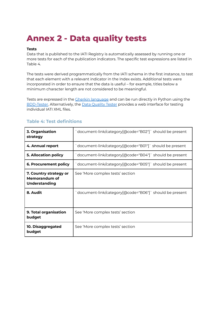# **Annex 2 - Data quality tests**

#### **Tests**

Data that is published to the IATI Registry is automatically assessed by running one or more tests for each of the publication indicators. The specific test expressions are listed in Table 4.

The tests were derived programmatically from the IATI schema in the first instance, to test that each element with a relevant indicator in the Index exists. Additional tests were incorporated in order to ensure that the data is useful – for example, titles below a minimum character length are not considered to be meaningful.

Tests are expressed in the Gherkin [language](https://github.com/cucumber/cucumber/wiki/Gherkin) and can be run directly in Python using the [BDD-Tester.](https://github.com/pwyf/bdd-tester) Alternatively, the Data [Quality](http://dataqualitytester.publishwhatyoufund.org) Tester provides a web interface for testing individual IATI XML files.

| 3. Organisation<br>strategy                                     | document-link/category[@code="B02"]` should be present |  |
|-----------------------------------------------------------------|--------------------------------------------------------|--|
| 4. Annual report                                                | document-link/category[@code="B01"]`should be present  |  |
| <b>5. Allocation policy</b>                                     | document-link/category[@code="B04"]` should be present |  |
| <b>6. Procurement policy</b>                                    | document-link/category[@code="B05"]` should be present |  |
| 7. Country strategy or<br>Memorandum of<br><b>Understanding</b> | See 'More complex tests' section                       |  |
| 8. Audit                                                        | document-link/category[@code="B06"]` should be present |  |
| 9. Total organisation<br>budget                                 | See 'More complex tests' section                       |  |
| 10. Disaggregated<br>budget                                     | See 'More complex tests' section                       |  |

## **Table 4: Test definitions**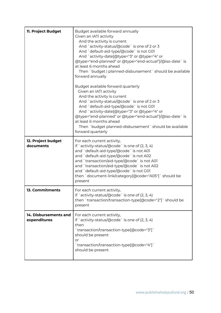| 11. Project Budget                    | Budget available forward annually<br>Given an IATI activity<br>And the activity is current<br>And `activity-status/@code` is one of 2 or 3<br>And `default-aid-type/@code` is not G01<br>And `activity-date[@type="3" or @type="4" or<br>@type="end-planned" or @type="end-actual"]/@iso-date`is<br>at least 6 months ahead<br>Then `budget   planned-disbursement` should be available<br>forward annually |
|---------------------------------------|-------------------------------------------------------------------------------------------------------------------------------------------------------------------------------------------------------------------------------------------------------------------------------------------------------------------------------------------------------------------------------------------------------------|
|                                       | Budget available forward quarterly<br>Given an IATI activity<br>And the activity is current<br>And `activity-status/@code` is one of 2 or 3<br>And `default-aid-type/@code` is not G01<br>And `activity-date[@type="3" or @type="4" or<br>@type="end-planned" or @type="end-actual"]/@iso-date`is<br>at least 6 months ahead<br>Then `budget planned-disbursement` should be available<br>forward quarterly |
| 12. Project budget<br>documents       | For each current activity,<br>if `activity-status/ $@code$ ` is one of $(2, 3, 4)$<br>and `default-aid-type/@code` is not A01<br>and `default-aid-type/@code` is not A02<br>and `transaction/aid-type/@code` is not A01<br>and `transaction/aid-type/@code` is not A02<br>and `default-aid-type/@code` is not G01<br>then `document-link/category[@code="A05"]` should be<br>present                        |
| 13. Commitments                       | For each current activity,<br>if `activity-status/ $@code$ ` is one of $(2, 3, 4)$<br>then `transaction/transaction-type[@code="2"]` should be<br>present                                                                                                                                                                                                                                                   |
| 14. Disbursements and<br>expenditures | For each current activity,<br>if `activity-status/@code` is one of (2, 3, 4)<br>then<br>`transaction/transaction-type[@code="3"]`<br>should be present<br>or<br>`transaction/transaction-type[@code="4"]`<br>should be present                                                                                                                                                                              |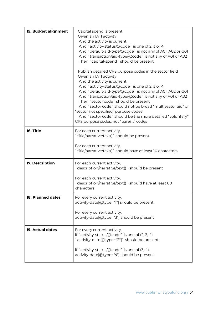| 15. Budget alignment | Capital spend is present<br>Given an IATI activity<br>And the activity is current<br>And `activity-status/@code` is one of 2, 3 or 4<br>And `default-aid-type/@code` is not any of A01, A02 or G01<br>And `transaction/aid-type/@code` is not any of A01 or A02<br>Then `capital-spend` should be present<br>Publish detailed CRS purpose codes in the sector field<br>Given an IATI activity<br>And the activity is current<br>And `activity-status/@code` is one of 2, 3 or 4<br>And `default-aid-type/@code` is not any of A01, A02 or G01<br>And `transaction/aid-type/@code` is not any of A01 or A02<br>Then `sector code` should be present<br>And `sector code` should not be broad "multisector aid" or<br>"sector not specified" purpose codes<br>And `sector code` should be the more detailed "voluntary" |
|----------------------|-----------------------------------------------------------------------------------------------------------------------------------------------------------------------------------------------------------------------------------------------------------------------------------------------------------------------------------------------------------------------------------------------------------------------------------------------------------------------------------------------------------------------------------------------------------------------------------------------------------------------------------------------------------------------------------------------------------------------------------------------------------------------------------------------------------------------|
| 16. Title            | CRS purpose codes, not "parent" codes                                                                                                                                                                                                                                                                                                                                                                                                                                                                                                                                                                                                                                                                                                                                                                                 |
|                      | For each current activity,<br>`title/narrative/text()` should be present                                                                                                                                                                                                                                                                                                                                                                                                                                                                                                                                                                                                                                                                                                                                              |
|                      | For each current activity,<br>`title/narrative/text()` should have at least 10 characters                                                                                                                                                                                                                                                                                                                                                                                                                                                                                                                                                                                                                                                                                                                             |
| 17. Description      | For each current activity,<br>description/narrative/text() should be present                                                                                                                                                                                                                                                                                                                                                                                                                                                                                                                                                                                                                                                                                                                                          |
|                      | For each current activity,<br>description/narrative/text() should have at least 80<br>characters                                                                                                                                                                                                                                                                                                                                                                                                                                                                                                                                                                                                                                                                                                                      |
| 18. Planned dates    | For every current activity,<br>activity-date[@type="1"] should be present                                                                                                                                                                                                                                                                                                                                                                                                                                                                                                                                                                                                                                                                                                                                             |
|                      | For every current activity,<br>activity-date[@type="3"] should be present                                                                                                                                                                                                                                                                                                                                                                                                                                                                                                                                                                                                                                                                                                                                             |
| 19. Actual dates     | For every current activity,<br>if `activity-status/ $@code$ ` is one of $(2, 3, 4)$<br>activity-date[@type="2"]` should be present                                                                                                                                                                                                                                                                                                                                                                                                                                                                                                                                                                                                                                                                                    |
|                      | if `activity-status/ $@code$ ` is one of $(3, 4)$<br>activity-date[@type="4"] should be present                                                                                                                                                                                                                                                                                                                                                                                                                                                                                                                                                                                                                                                                                                                       |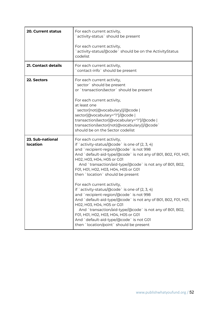| <b>20. Current status</b>           | For each current activity,<br>activity-status` should be present                                                                                                                                                                                                                                                                                                                                                                                                                                                                                                                                                                                                                                                                                                                         |
|-------------------------------------|------------------------------------------------------------------------------------------------------------------------------------------------------------------------------------------------------------------------------------------------------------------------------------------------------------------------------------------------------------------------------------------------------------------------------------------------------------------------------------------------------------------------------------------------------------------------------------------------------------------------------------------------------------------------------------------------------------------------------------------------------------------------------------------|
|                                     | For each current activity,<br>`activity-status/@code` should be on the ActivityStatus<br>codelist                                                                                                                                                                                                                                                                                                                                                                                                                                                                                                                                                                                                                                                                                        |
| 21. Contact details                 | For each current activity,<br>contact-info` should be present                                                                                                                                                                                                                                                                                                                                                                                                                                                                                                                                                                                                                                                                                                                            |
| 22. Sectors                         | For each current activity,<br>`sector` should be present<br>or `transaction/sector` should be present<br>For each current activity,<br>at least one<br>`sector[not(@vocabulary)]/@code  <br>sector[@vocabulary="1"]/@code  <br>transaction/sector[@vocabulary="1"]/@code  <br>transaction/sector[not(@vocabulary)]/@code`<br>should be on the Sector codelist                                                                                                                                                                                                                                                                                                                                                                                                                            |
| 23. Sub-national<br><b>location</b> | For each current activity,<br>if `activity-status/@code` is one of $(2, 3, 4)$<br>and `recipient-region/@code` is not 998<br>And `default-aid-type/@code` is not any of B01, B02, F01, H01,<br>H02, H03, H04, H05 or G01<br>And `transaction/aid-type/@code` is not any of B01, B02,<br>F01, H01, H02, H03, H04, H05 or G01<br>then `location` should be present<br>For each current activity,<br>if `activity-status/@code` is one of $(2, 3, 4)$<br>`recipient-region/@code` is not 998<br>and<br>And `default-aid-type/@code` is not any of B01, B02, F01, H01,<br>H02, H03, H04, H05 or G01<br>And `transaction/aid-type/@code` is not any of B01, B02,<br>F01, H01, H02, H03, H04, H05 or G01<br>And `default-aid-type/@code` is not G01<br>then `location/point` should be present |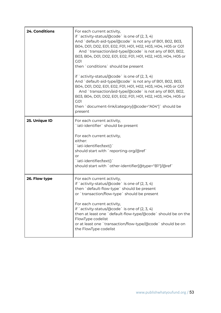| 24. Conditions | For each current activity,<br>if `activity-status/@code` is one of (2, 3, 4)<br>And `default-aid-type/@code` is not any of B01, B02, B03,<br>B04, D01, D02, E01, E02, F01, H01, H02, H03, H04, H05 or G01<br>And `transaction/aid-type/@code` is not any of B01, B02,<br>B03, B04, D01, D02, E01, E02, F01, H01, H02, H03, H04, H05 or<br>G <sub>O</sub> 1<br>then `conditions` should be present<br>if `activity-status/ $\alpha$ code` is one of $(2, 3, 4)$<br>And `default-aid-type/@code` is not any of B01, B02, B03,<br>B04, D01, D02, E01, E02, F01, H01, H02, H03, H04, H05 or G01<br>And `transaction/aid-type/@code` is not any of B01, B02,<br>B03, B04, D01, D02, E01, E02, F01, H01, H02, H03, H04, H05 or<br>G <sub>O</sub> 1<br>then `document-link/category[@code="A04"]` should be<br>present |
|----------------|-----------------------------------------------------------------------------------------------------------------------------------------------------------------------------------------------------------------------------------------------------------------------------------------------------------------------------------------------------------------------------------------------------------------------------------------------------------------------------------------------------------------------------------------------------------------------------------------------------------------------------------------------------------------------------------------------------------------------------------------------------------------------------------------------------------------|
| 25. Unique ID  | For each current activity,<br>iati-identifier ` should be present<br>For each current activity,<br>either:<br>iati-identifier/text()`<br>should start with `reporting-org/@ref`<br>or<br>`iati-identifier/text()`<br>should start with `other-identifier[@type="B1"]/@ref`                                                                                                                                                                                                                                                                                                                                                                                                                                                                                                                                      |
| 26. Flow type  | For each current activity,<br>if `activity-status/ $\alpha$ code` is one of $(2, 3, 4)$<br>then `default-flow-type` should be present<br>or `transaction/flow-type` should be present<br>For each current activity,<br>if `activity-status/ $@code$ ` is one of $(2, 3, 4)$<br>then at least one `default-flow-type/@code` should be on the<br>FlowType codelist<br>or at least one `transaction/flow-type/@code` should be on<br>the FlowType codelist                                                                                                                                                                                                                                                                                                                                                         |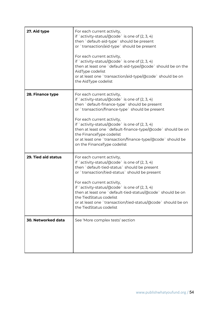| 27. Aid type        | For each current activity,<br>if `activity-status/ $@code$ ` is one of $(2, 3, 4)$<br>then `default-aid-type` should be present<br>or `transaction/aid-type` should be present<br>For each current activity,<br>if `activity-status/@code` is one of $(2, 3, 4)$<br>then at least one `default-aid-type/@code` should be on the<br>AidType codelist<br>or at least one `transaction/aid-type/@code` should be on<br>the AidType codelist                         |
|---------------------|------------------------------------------------------------------------------------------------------------------------------------------------------------------------------------------------------------------------------------------------------------------------------------------------------------------------------------------------------------------------------------------------------------------------------------------------------------------|
| 28. Finance type    | For each current activity,<br>if `activity-status/ $@code$ ` is one of $(2, 3, 4)$<br>then `default-finance-type` should be present<br>or `transaction/finance-type` should be present<br>For each current activity,<br>if `activity-status/@code` is one of $(2, 3, 4)$<br>then at least one `default-finance-type/@code` should be on<br>the FinanceType codelist<br>or at least one `transaction/finance-type/@code` should be<br>on the FinanceType codelist |
| 29. Tied aid status | For each current activity,<br>if `activity-status/@code` is one of (2, 3, 4)<br>then `default-tied-status` should be present<br>or `transaction/tied-status` should be present<br>For each current activity,<br>if `activity-status/@code` is one of (2, 3, 4)<br>then at least one `default-tied-status/@code` should be on<br>the TiedStatus codelist<br>or at least one `transaction/tied-status/@code` should be on<br>the TiedStatus codelist               |
| 30. Networked data  | See 'More complex tests' section                                                                                                                                                                                                                                                                                                                                                                                                                                 |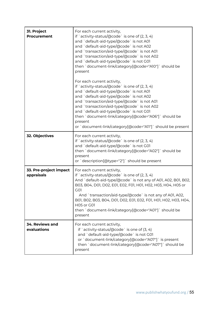| 31. Project<br><b>Procurement</b>    | For each current activity,<br>if `activity-status/ $@code$ ` is one of $(2, 3, 4)$<br>and `default-aid-type/@code` is not A01<br>and `default-aid-type/@code` is not A02<br>and `transaction/aid-type/@code` is not A01<br>and `transaction/aid-type/@code` is not A02<br>and `default-aid-type/@code` is not G01<br>then `document-link/category[@code="A10"]` should be<br>present                                                                 |
|--------------------------------------|------------------------------------------------------------------------------------------------------------------------------------------------------------------------------------------------------------------------------------------------------------------------------------------------------------------------------------------------------------------------------------------------------------------------------------------------------|
|                                      | For each current activity,<br>if `activity-status/@code` is one of $(2, 3, 4)$<br>and `default-aid-type/@code` is not A01<br>and `default-aid-type/@code` is not A02<br>and `transaction/aid-type/@code` is not A01<br>and `transaction/aid-type/@code` is not A02<br>and `default-aid-type/@code` is not G01<br>then `document-link/category[@code="A06"]` should be<br>present<br>or `document-link/category[@code="A11"]` should be present       |
| 32. Objectives                       | For each current activity,<br>if `activity-status/@code` is one of $(2, 3, 4)$<br>and `default-aid-type/@code` is not G01<br>then `document-link/category[@code="A02"]` should be<br>present<br>or `description[@type="2"]` should be present                                                                                                                                                                                                        |
| 33. Pre-project impact<br>appraisals | For each current activity,<br>if `activity-status/ $@code$ ` is one of $(2, 3, 4)$<br>And `default-aid-type/@code` is not any of A01, A02, B01, B02,<br>B03, B04, D01, D02, E01, E02, F01, H01, H02, H03, H04, H05 or<br>G01<br>And `transaction/aid-type/@code` is not any of A01, A02,<br>B01, B02, B03, B04, D01, D02, E01, E02, F01, H01, H02, H03, H04,<br><b>H05 or G01</b><br>then `document-link/category[@code="A01"]` should be<br>present |
| 34. Reviews and<br>evaluations       | For each current activity,<br>if `activity-status/ $@code`$ is one of $(3, 4)$<br>and `default-aid-type/@code` is not G01<br>or `document-link/category[@code="A07"]` is present<br>then `document-link/category[@code="A07"]` should be<br>present                                                                                                                                                                                                  |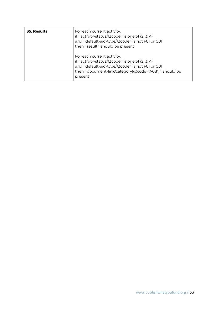| <b>35. Results</b> | For each current activity,<br>if `activity-status/@code` is one of (2, 3, 4)<br>and `default-aid-type/@code` is not F01 or G01<br>then `result` should be present                                 |
|--------------------|---------------------------------------------------------------------------------------------------------------------------------------------------------------------------------------------------|
|                    | For each current activity,<br>if `activity-status/@code` is one of (2, 3, 4)<br>and `default-aid-type/@code` is not F01 or G01<br>then `document-link/category[@code="A08"]` should be<br>present |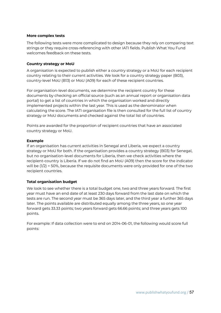#### **More complex tests**

The following tests were more complicated to design because they rely on comparing text strings or they require cross-referencing with other IATI fields. Publish What You Fund welcomes feedback on these tests.

#### **Country strategy or MoU**

A organisation is expected to publish either a country strategy or a MoU for each recipient country relating to their current activities. We look for a country strategy paper (B03), country-level MoU (B13) or MoU (A09) for each of these recipient countries.

For organisation-level documents, we determine the recipient country for these documents by checking an official source (such as an annual report or organisation data portal) to get a list of countries in which the organisation worked and directly implemented projects within the last year. This is used as the denominator when calculating the score. The IATI organisation file is then consulted for the full list of country strategy or MoU documents and checked against the total list of countries.

Points are awarded for the proportion of recipient countries that have an associated country strategy or MoU.

#### **Example**

If an organisation has current activities in Senegal and Liberia, we expect a country strategy or MoU for both. If the organisation provides a country strategy (B03) for Senegal, but no organisation-level documents for Liberia, then we check activities where the recipient-country is Liberia. If we do not find an MoU (A09) then the score for the indicator will be (1/2) = 50%, because the requisite documents were only provided for one of the two recipient countries.

#### **Total organisation budget**

We look to see whether there is a total budget one, two and three years forward. The first year must have an end date of at least 230 days forward from the last date on which the tests are run. The second year must be 365 days later, and the third year a further 365 days later. The points available are distributed equally among the three years, so one year forward gets 33.33 points; two years forward gets 66.66 points; and three years gets 100 points.

For example: If data collection were to end on 2014-06-01, the following would score full points: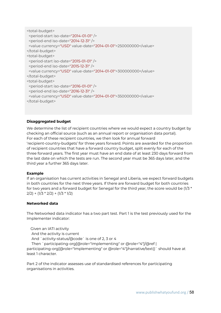```
<total-budget>
 <period-start iso-date="2014-01-01" />
<period-end iso-date="2014-12-31" />
 <value currency="USD" value-date="2014-01-01">250000000</value>
</total-budget>
<total-budget>
 <period-start iso-date="2015-01-01" />
<period-end iso-date="2015-12-31" />
<value currency="USD" value-date="2014-01-01">300000000</value>
</total-budget>
<total-budget>
 <period-start iso-date="2016-01-01" />
<period-end iso-date="2016-12-31" />
<value currency="USD" value-date="2014-01-01">350000000</value>
</total-budget>
```
#### **Disaggregated budget**

We determine the list of recipient countries where we would expect a country budget by checking an official source (such as an annual report or organisation data portal). For each of these recipient countries, we then look for annual forward 'recipient-country-budgets' for three years forward. Points are awarded for the proportion of recipient countries that have a forward country budget, split evenly for each of the three forward years. The first year must have an end date of at least 230 days forward from the last date on which the tests are run. The second year must be 365 days later, and the third year a further 365 days later.

#### **Example**

If an organisation has current activities in Senegal and Liberia, we expect forward budgets in both countries for the next three years. If there are forward budget for both countries for two years and a forward budget for Senegal for the third year, the score would be  $(1/3 *$  $2/2$ ) + (1/3 \* 2/2) + (1/3 \* 1/2)

#### **Networked data**

The Networked data indicator has a two part test. Part 1 is the test previously used for the Implementer indicator:

Given an IATI activity And the activity is current And `activity-status/@code` is one of 2, 3 or 4 Then `participating-org[@role="Implementing" or @role="4"]/@ref | participating-org[@role="Implementing" or @role="4"]/narrative/text()` should have at least 1 character.

Part 2 of the indicator assesses use of standardised references for participating organisations in activities.